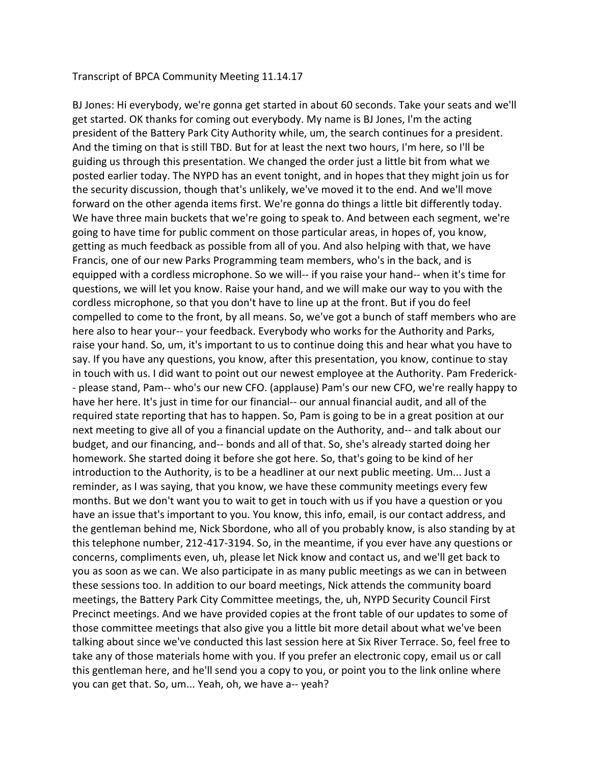Transcript of BPCA Community Meeting 11.14.17

BJ Jones: Hi everybody, we're gonna get started in about 60 seconds. Take your seats and we'll get started. OK thanks for coming out everybody. My name is BJ Jones, I'm the acting president of the Battery Park City Authority while, um, the search continues for a president. And the timing on that is still TBD. But for at least the next two hours, I'm here, so I'll be guiding us through this presentation. We changed the order just a little bit from what we posted earlier today. The NYPD has an event tonight, and in hopes that they might join us for the security discussion, though that's unlikely, we've moved it to the end. And we'll move forward on the other agenda items first. We're gonna do things a little bit differently today. We have three main buckets that we're going to speak to. And between each segment, we're going to have time for public comment on those particular areas, in hopes of, you know, getting as much feedback as possible from all of you. And also helping with that, we have Francis, one of our new Parks Programming team members, who's in the back, and is equipped with a cordless microphone. So we will-- if you raise your hand-- when it's time for questions, we will let you know. Raise your hand, and we will make our way to you with the cordless microphone, so that you don't have to line up at the front. But if you do feel compelled to come to the front, by all means. So, we've got a bunch of staff members who are here also to hear your-- your feedback. Everybody who works for the Authority and Parks, raise your hand. So, um, it's important to us to continue doing this and hear what you have to say. If you have any questions, you know, after this presentation, you know, continue to stay in touch with us. I did want to point out our newest employee at the Authority. Pam Frederick- - please stand, Pam-- who's our new CFO. (applause) Pam's our new CFO, we're really happy to have her here. It's just in time for our financial-- our annual financial audit, and all of the required state reporting that has to happen. So, Pam is going to be in a great position at our next meeting to give all of you a financial update on the Authority, and-- and talk about our budget, and our financing, and-- bonds and all of that. So, she's already started doing her homework. She started doing it before she got here. So, that's going to be kind of her introduction to the Authority, is to be a headliner at our next public meeting. Um... Just a reminder, as I was saying, that you know, we have these community meetings every few months. But we don't want you to wait to get in touch with us if you have a question or you have an issue that's important to you. You know, this info, email, is our contact address, and the gentleman behind me, Nick Sbordone, who all of you probably know, is also standing by at this telephone number, 212-417-3194. So, in the meantime, if you ever have any questions or concerns, compliments even, uh, please let Nick know and contact us, and we'll get back to you as soon as we can. We also participate in as many public meetings as we can in between these sessions too. In addition to our board meetings, Nick attends the community board meetings, the Battery Park City Committee meetings, the, uh, NYPD Security Council First Precinct meetings. And we have provided copies at the front table of our updates to some of those committee meetings that also give you a little bit more detail about what we've been talking about since we've conducted this last session here at Six River Terrace. So, feel free to take any of those materials home with you. If you prefer an electronic copy, email us or call this gentleman here, and he'll send you a copy to you, or point you to the link online where you can get that. So, um... Yeah, oh, we have a-- yeah?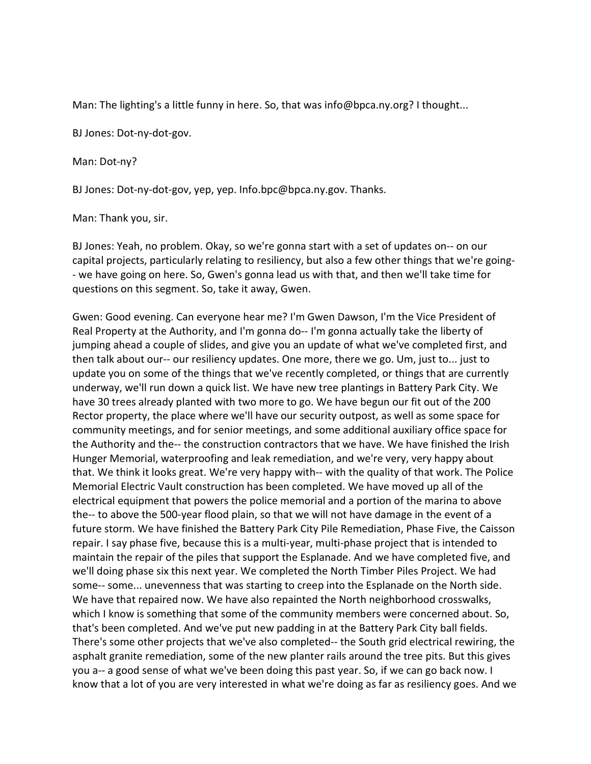Man: The lighting's a little funny in here. So, that was info@bpca.ny.org? I thought...

BJ Jones: Dot-ny-dot-gov.

Man: Dot-ny?

BJ Jones: Dot-ny-dot-gov, yep, yep. Info.bpc@bpca.ny.gov. Thanks.

Man: Thank you, sir.

BJ Jones: Yeah, no problem. Okay, so we're gonna start with a set of updates on-- on our capital projects, particularly relating to resiliency, but also a few other things that we're going- - we have going on here. So, Gwen's gonna lead us with that, and then we'll take time for questions on this segment. So, take it away, Gwen.

Gwen: Good evening. Can everyone hear me? I'm Gwen Dawson, I'm the Vice President of Real Property at the Authority, and I'm gonna do-- I'm gonna actually take the liberty of jumping ahead a couple of slides, and give you an update of what we've completed first, and then talk about our-- our resiliency updates. One more, there we go. Um, just to... just to update you on some of the things that we've recently completed, or things that are currently underway, we'll run down a quick list. We have new tree plantings in Battery Park City. We have 30 trees already planted with two more to go. We have begun our fit out of the 200 Rector property, the place where we'll have our security outpost, as well as some space for community meetings, and for senior meetings, and some additional auxiliary office space for the Authority and the-- the construction contractors that we have. We have finished the Irish Hunger Memorial, waterproofing and leak remediation, and we're very, very happy about that. We think it looks great. We're very happy with-- with the quality of that work. The Police Memorial Electric Vault construction has been completed. We have moved up all of the electrical equipment that powers the police memorial and a portion of the marina to above the-- to above the 500-year flood plain, so that we will not have damage in the event of a future storm. We have finished the Battery Park City Pile Remediation, Phase Five, the Caisson repair. I say phase five, because this is a multi-year, multi-phase project that is intended to maintain the repair of the piles that support the Esplanade. And we have completed five, and we'll doing phase six this next year. We completed the North Timber Piles Project. We had some-- some... unevenness that was starting to creep into the Esplanade on the North side. We have that repaired now. We have also repainted the North neighborhood crosswalks, which I know is something that some of the community members were concerned about. So, that's been completed. And we've put new padding in at the Battery Park City ball fields. There's some other projects that we've also completed-- the South grid electrical rewiring, the asphalt granite remediation, some of the new planter rails around the tree pits. But this gives you a-- a good sense of what we've been doing this past year. So, if we can go back now. I know that a lot of you are very interested in what we're doing as far as resiliency goes. And we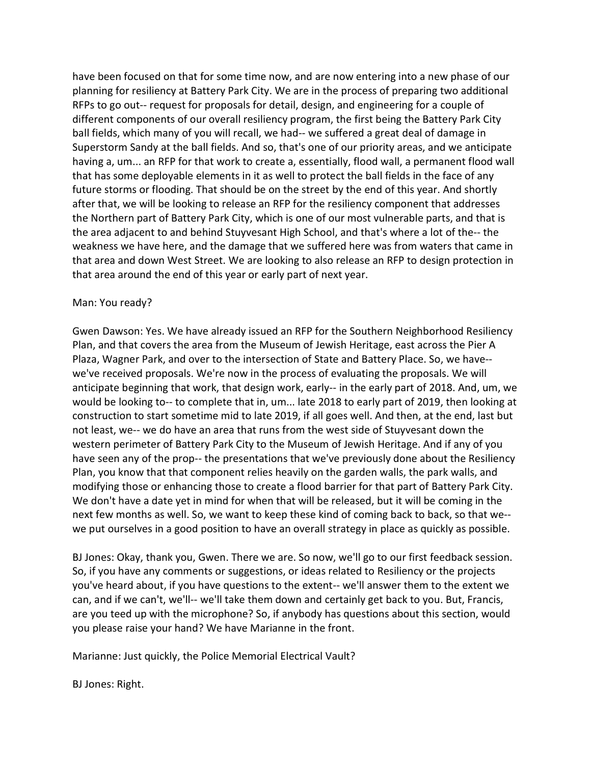have been focused on that for some time now, and are now entering into a new phase of our planning for resiliency at Battery Park City. We are in the process of preparing two additional RFPs to go out-- request for proposals for detail, design, and engineering for a couple of different components of our overall resiliency program, the first being the Battery Park City ball fields, which many of you will recall, we had-- we suffered a great deal of damage in Superstorm Sandy at the ball fields. And so, that's one of our priority areas, and we anticipate having a, um... an RFP for that work to create a, essentially, flood wall, a permanent flood wall that has some deployable elements in it as well to protect the ball fields in the face of any future storms or flooding. That should be on the street by the end of this year. And shortly after that, we will be looking to release an RFP for the resiliency component that addresses the Northern part of Battery Park City, which is one of our most vulnerable parts, and that is the area adjacent to and behind Stuyvesant High School, and that's where a lot of the-- the weakness we have here, and the damage that we suffered here was from waters that came in that area and down West Street. We are looking to also release an RFP to design protection in that area around the end of this year or early part of next year.

#### Man: You ready?

Gwen Dawson: Yes. We have already issued an RFP for the Southern Neighborhood Resiliency Plan, and that covers the area from the Museum of Jewish Heritage, east across the Pier A Plaza, Wagner Park, and over to the intersection of State and Battery Place. So, we have- we've received proposals. We're now in the process of evaluating the proposals. We will anticipate beginning that work, that design work, early-- in the early part of 2018. And, um, we would be looking to-- to complete that in, um... late 2018 to early part of 2019, then looking at construction to start sometime mid to late 2019, if all goes well. And then, at the end, last but not least, we-- we do have an area that runs from the west side of Stuyvesant down the western perimeter of Battery Park City to the Museum of Jewish Heritage. And if any of you have seen any of the prop-- the presentations that we've previously done about the Resiliency Plan, you know that that component relies heavily on the garden walls, the park walls, and modifying those or enhancing those to create a flood barrier for that part of Battery Park City. We don't have a date yet in mind for when that will be released, but it will be coming in the next few months as well. So, we want to keep these kind of coming back to back, so that we- we put ourselves in a good position to have an overall strategy in place as quickly as possible.

BJ Jones: Okay, thank you, Gwen. There we are. So now, we'll go to our first feedback session. So, if you have any comments or suggestions, or ideas related to Resiliency or the projects you've heard about, if you have questions to the extent-- we'll answer them to the extent we can, and if we can't, we'll-- we'll take them down and certainly get back to you. But, Francis, are you teed up with the microphone? So, if anybody has questions about this section, would you please raise your hand? We have Marianne in the front.

Marianne: Just quickly, the Police Memorial Electrical Vault?

BJ Jones: Right.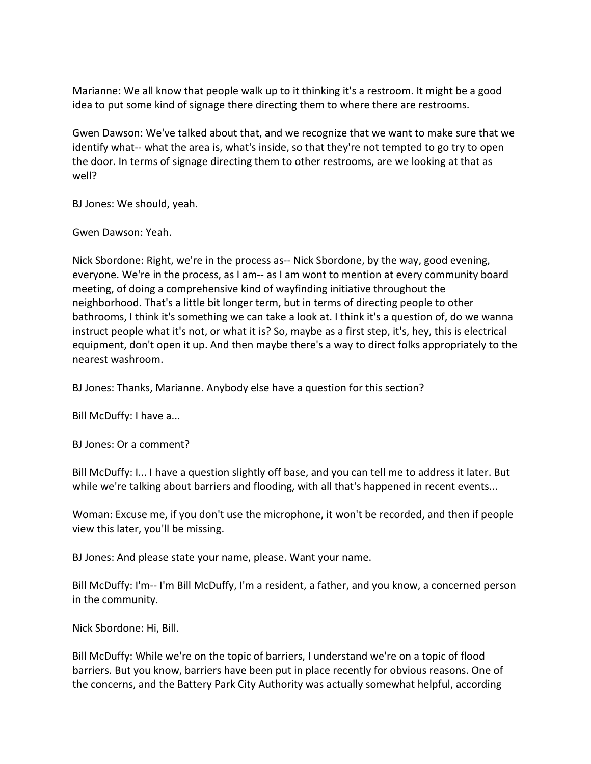Marianne: We all know that people walk up to it thinking it's a restroom. It might be a good idea to put some kind of signage there directing them to where there are restrooms.

Gwen Dawson: We've talked about that, and we recognize that we want to make sure that we identify what-- what the area is, what's inside, so that they're not tempted to go try to open the door. In terms of signage directing them to other restrooms, are we looking at that as well?

BJ Jones: We should, yeah.

Gwen Dawson: Yeah.

Nick Sbordone: Right, we're in the process as-- Nick Sbordone, by the way, good evening, everyone. We're in the process, as I am-- as I am wont to mention at every community board meeting, of doing a comprehensive kind of wayfinding initiative throughout the neighborhood. That's a little bit longer term, but in terms of directing people to other bathrooms, I think it's something we can take a look at. I think it's a question of, do we wanna instruct people what it's not, or what it is? So, maybe as a first step, it's, hey, this is electrical equipment, don't open it up. And then maybe there's a way to direct folks appropriately to the nearest washroom.

BJ Jones: Thanks, Marianne. Anybody else have a question for this section?

Bill McDuffy: I have a...

BJ Jones: Or a comment?

Bill McDuffy: I... I have a question slightly off base, and you can tell me to address it later. But while we're talking about barriers and flooding, with all that's happened in recent events...

Woman: Excuse me, if you don't use the microphone, it won't be recorded, and then if people view this later, you'll be missing.

BJ Jones: And please state your name, please. Want your name.

Bill McDuffy: I'm-- I'm Bill McDuffy, I'm a resident, a father, and you know, a concerned person in the community.

Nick Sbordone: Hi, Bill.

Bill McDuffy: While we're on the topic of barriers, I understand we're on a topic of flood barriers. But you know, barriers have been put in place recently for obvious reasons. One of the concerns, and the Battery Park City Authority was actually somewhat helpful, according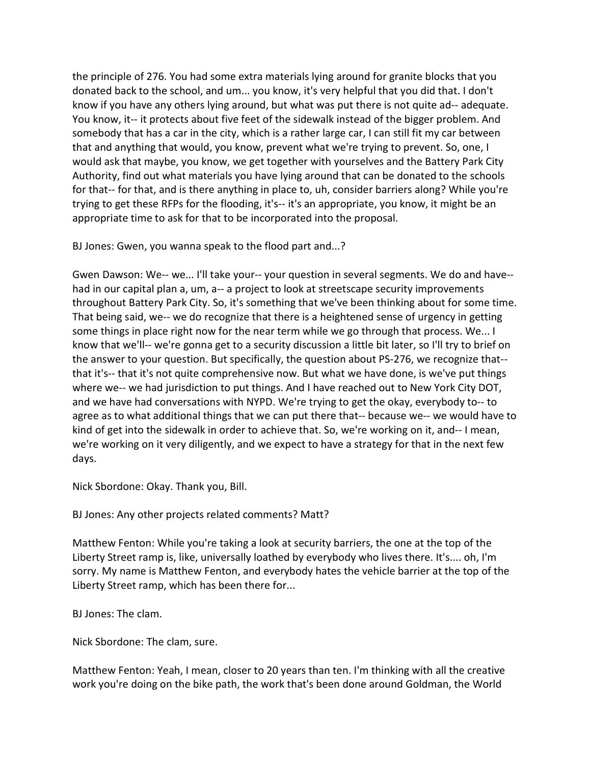the principle of 276. You had some extra materials lying around for granite blocks that you donated back to the school, and um... you know, it's very helpful that you did that. I don't know if you have any others lying around, but what was put there is not quite ad-- adequate. You know, it-- it protects about five feet of the sidewalk instead of the bigger problem. And somebody that has a car in the city, which is a rather large car, I can still fit my car between that and anything that would, you know, prevent what we're trying to prevent. So, one, I would ask that maybe, you know, we get together with yourselves and the Battery Park City Authority, find out what materials you have lying around that can be donated to the schools for that-- for that, and is there anything in place to, uh, consider barriers along? While you're trying to get these RFPs for the flooding, it's-- it's an appropriate, you know, it might be an appropriate time to ask for that to be incorporated into the proposal.

BJ Jones: Gwen, you wanna speak to the flood part and...?

Gwen Dawson: We-- we... I'll take your-- your question in several segments. We do and have- had in our capital plan a, um, a-- a project to look at streetscape security improvements throughout Battery Park City. So, it's something that we've been thinking about for some time. That being said, we-- we do recognize that there is a heightened sense of urgency in getting some things in place right now for the near term while we go through that process. We... I know that we'll-- we're gonna get to a security discussion a little bit later, so I'll try to brief on the answer to your question. But specifically, the question about PS-276, we recognize that- that it's-- that it's not quite comprehensive now. But what we have done, is we've put things where we-- we had jurisdiction to put things. And I have reached out to New York City DOT, and we have had conversations with NYPD. We're trying to get the okay, everybody to-- to agree as to what additional things that we can put there that-- because we-- we would have to kind of get into the sidewalk in order to achieve that. So, we're working on it, and-- I mean, we're working on it very diligently, and we expect to have a strategy for that in the next few days.

Nick Sbordone: Okay. Thank you, Bill.

BJ Jones: Any other projects related comments? Matt?

Matthew Fenton: While you're taking a look at security barriers, the one at the top of the Liberty Street ramp is, like, universally loathed by everybody who lives there. It's.... oh, I'm sorry. My name is Matthew Fenton, and everybody hates the vehicle barrier at the top of the Liberty Street ramp, which has been there for...

BJ Jones: The clam.

Nick Sbordone: The clam, sure.

Matthew Fenton: Yeah, I mean, closer to 20 years than ten. I'm thinking with all the creative work you're doing on the bike path, the work that's been done around Goldman, the World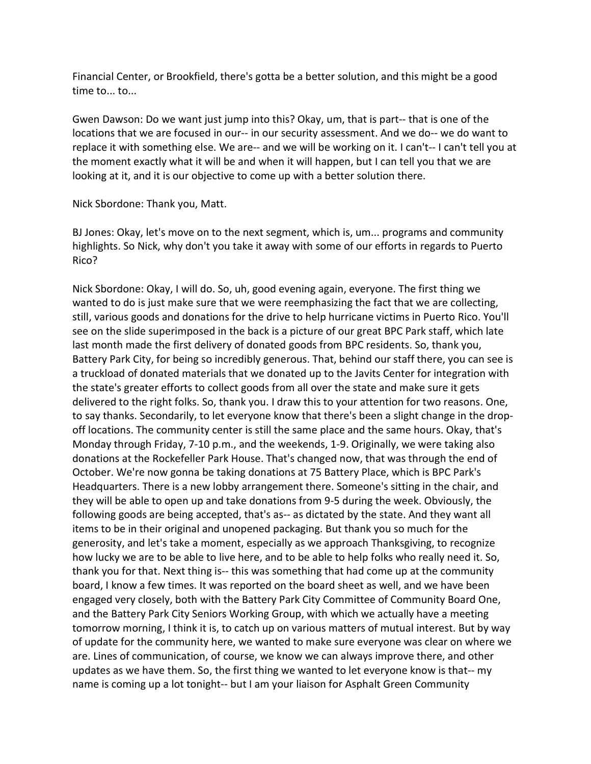Financial Center, or Brookfield, there's gotta be a better solution, and this might be a good time to... to...

Gwen Dawson: Do we want just jump into this? Okay, um, that is part-- that is one of the locations that we are focused in our-- in our security assessment. And we do-- we do want to replace it with something else. We are-- and we will be working on it. I can't-- I can't tell you at the moment exactly what it will be and when it will happen, but I can tell you that we are looking at it, and it is our objective to come up with a better solution there.

Nick Sbordone: Thank you, Matt.

BJ Jones: Okay, let's move on to the next segment, which is, um... programs and community highlights. So Nick, why don't you take it away with some of our efforts in regards to Puerto Rico?

Nick Sbordone: Okay, I will do. So, uh, good evening again, everyone. The first thing we wanted to do is just make sure that we were reemphasizing the fact that we are collecting, still, various goods and donations for the drive to help hurricane victims in Puerto Rico. You'll see on the slide superimposed in the back is a picture of our great BPC Park staff, which late last month made the first delivery of donated goods from BPC residents. So, thank you, Battery Park City, for being so incredibly generous. That, behind our staff there, you can see is a truckload of donated materials that we donated up to the Javits Center for integration with the state's greater efforts to collect goods from all over the state and make sure it gets delivered to the right folks. So, thank you. I draw this to your attention for two reasons. One, to say thanks. Secondarily, to let everyone know that there's been a slight change in the dropoff locations. The community center is still the same place and the same hours. Okay, that's Monday through Friday, 7-10 p.m., and the weekends, 1-9. Originally, we were taking also donations at the Rockefeller Park House. That's changed now, that was through the end of October. We're now gonna be taking donations at 75 Battery Place, which is BPC Park's Headquarters. There is a new lobby arrangement there. Someone's sitting in the chair, and they will be able to open up and take donations from 9-5 during the week. Obviously, the following goods are being accepted, that's as-- as dictated by the state. And they want all items to be in their original and unopened packaging. But thank you so much for the generosity, and let's take a moment, especially as we approach Thanksgiving, to recognize how lucky we are to be able to live here, and to be able to help folks who really need it. So, thank you for that. Next thing is-- this was something that had come up at the community board, I know a few times. It was reported on the board sheet as well, and we have been engaged very closely, both with the Battery Park City Committee of Community Board One, and the Battery Park City Seniors Working Group, with which we actually have a meeting tomorrow morning, I think it is, to catch up on various matters of mutual interest. But by way of update for the community here, we wanted to make sure everyone was clear on where we are. Lines of communication, of course, we know we can always improve there, and other updates as we have them. So, the first thing we wanted to let everyone know is that-- my name is coming up a lot tonight-- but I am your liaison for Asphalt Green Community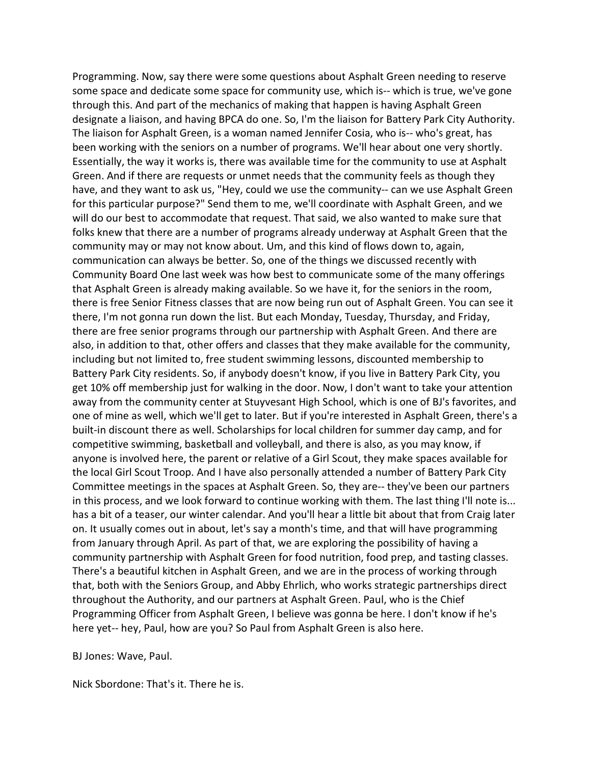Programming. Now, say there were some questions about Asphalt Green needing to reserve some space and dedicate some space for community use, which is-- which is true, we've gone through this. And part of the mechanics of making that happen is having Asphalt Green designate a liaison, and having BPCA do one. So, I'm the liaison for Battery Park City Authority. The liaison for Asphalt Green, is a woman named Jennifer Cosia, who is-- who's great, has been working with the seniors on a number of programs. We'll hear about one very shortly. Essentially, the way it works is, there was available time for the community to use at Asphalt Green. And if there are requests or unmet needs that the community feels as though they have, and they want to ask us, "Hey, could we use the community-- can we use Asphalt Green for this particular purpose?" Send them to me, we'll coordinate with Asphalt Green, and we will do our best to accommodate that request. That said, we also wanted to make sure that folks knew that there are a number of programs already underway at Asphalt Green that the community may or may not know about. Um, and this kind of flows down to, again, communication can always be better. So, one of the things we discussed recently with Community Board One last week was how best to communicate some of the many offerings that Asphalt Green is already making available. So we have it, for the seniors in the room, there is free Senior Fitness classes that are now being run out of Asphalt Green. You can see it there, I'm not gonna run down the list. But each Monday, Tuesday, Thursday, and Friday, there are free senior programs through our partnership with Asphalt Green. And there are also, in addition to that, other offers and classes that they make available for the community, including but not limited to, free student swimming lessons, discounted membership to Battery Park City residents. So, if anybody doesn't know, if you live in Battery Park City, you get 10% off membership just for walking in the door. Now, I don't want to take your attention away from the community center at Stuyvesant High School, which is one of BJ's favorites, and one of mine as well, which we'll get to later. But if you're interested in Asphalt Green, there's a built-in discount there as well. Scholarships for local children for summer day camp, and for competitive swimming, basketball and volleyball, and there is also, as you may know, if anyone is involved here, the parent or relative of a Girl Scout, they make spaces available for the local Girl Scout Troop. And I have also personally attended a number of Battery Park City Committee meetings in the spaces at Asphalt Green. So, they are-- they've been our partners in this process, and we look forward to continue working with them. The last thing I'll note is... has a bit of a teaser, our winter calendar. And you'll hear a little bit about that from Craig later on. It usually comes out in about, let's say a month's time, and that will have programming from January through April. As part of that, we are exploring the possibility of having a community partnership with Asphalt Green for food nutrition, food prep, and tasting classes. There's a beautiful kitchen in Asphalt Green, and we are in the process of working through that, both with the Seniors Group, and Abby Ehrlich, who works strategic partnerships direct throughout the Authority, and our partners at Asphalt Green. Paul, who is the Chief Programming Officer from Asphalt Green, I believe was gonna be here. I don't know if he's here yet-- hey, Paul, how are you? So Paul from Asphalt Green is also here.

BJ Jones: Wave, Paul.

Nick Sbordone: That's it. There he is.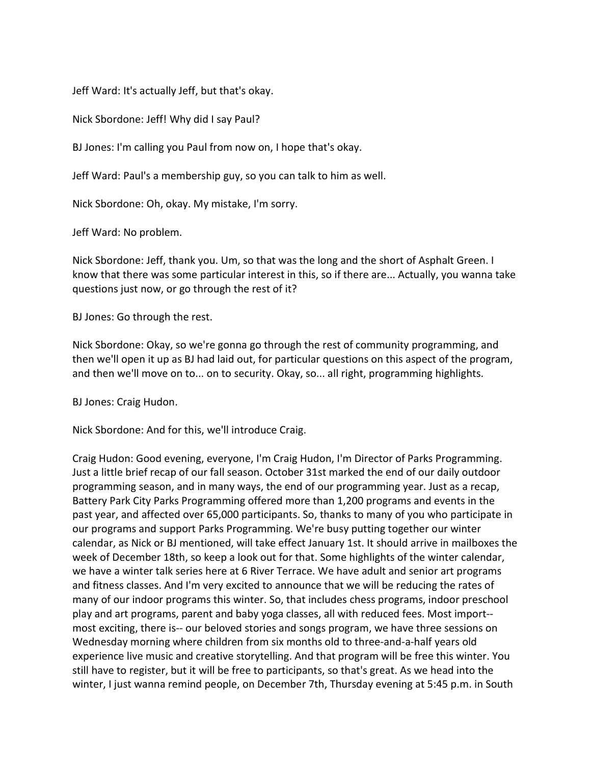Jeff Ward: It's actually Jeff, but that's okay.

Nick Sbordone: Jeff! Why did I say Paul?

BJ Jones: I'm calling you Paul from now on, I hope that's okay.

Jeff Ward: Paul's a membership guy, so you can talk to him as well.

Nick Sbordone: Oh, okay. My mistake, I'm sorry.

Jeff Ward: No problem.

Nick Sbordone: Jeff, thank you. Um, so that was the long and the short of Asphalt Green. I know that there was some particular interest in this, so if there are... Actually, you wanna take questions just now, or go through the rest of it?

BJ Jones: Go through the rest.

Nick Sbordone: Okay, so we're gonna go through the rest of community programming, and then we'll open it up as BJ had laid out, for particular questions on this aspect of the program, and then we'll move on to... on to security. Okay, so... all right, programming highlights.

BJ Jones: Craig Hudon.

Nick Sbordone: And for this, we'll introduce Craig.

Craig Hudon: Good evening, everyone, I'm Craig Hudon, I'm Director of Parks Programming. Just a little brief recap of our fall season. October 31st marked the end of our daily outdoor programming season, and in many ways, the end of our programming year. Just as a recap, Battery Park City Parks Programming offered more than 1,200 programs and events in the past year, and affected over 65,000 participants. So, thanks to many of you who participate in our programs and support Parks Programming. We're busy putting together our winter calendar, as Nick or BJ mentioned, will take effect January 1st. It should arrive in mailboxes the week of December 18th, so keep a look out for that. Some highlights of the winter calendar, we have a winter talk series here at 6 River Terrace. We have adult and senior art programs and fitness classes. And I'm very excited to announce that we will be reducing the rates of many of our indoor programs this winter. So, that includes chess programs, indoor preschool play and art programs, parent and baby yoga classes, all with reduced fees. Most import- most exciting, there is-- our beloved stories and songs program, we have three sessions on Wednesday morning where children from six months old to three-and-a-half years old experience live music and creative storytelling. And that program will be free this winter. You still have to register, but it will be free to participants, so that's great. As we head into the winter, I just wanna remind people, on December 7th, Thursday evening at 5:45 p.m. in South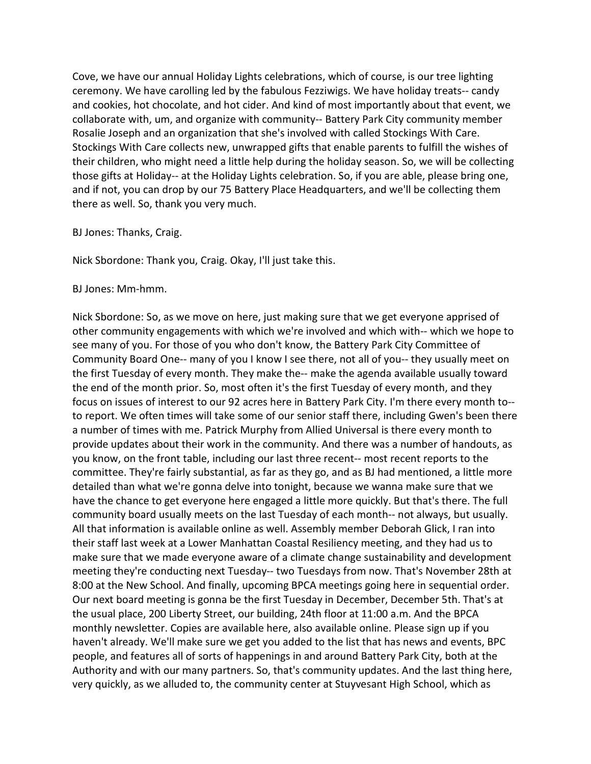Cove, we have our annual Holiday Lights celebrations, which of course, is our tree lighting ceremony. We have carolling led by the fabulous Fezziwigs. We have holiday treats-- candy and cookies, hot chocolate, and hot cider. And kind of most importantly about that event, we collaborate with, um, and organize with community-- Battery Park City community member Rosalie Joseph and an organization that she's involved with called Stockings With Care. Stockings With Care collects new, unwrapped gifts that enable parents to fulfill the wishes of their children, who might need a little help during the holiday season. So, we will be collecting those gifts at Holiday-- at the Holiday Lights celebration. So, if you are able, please bring one, and if not, you can drop by our 75 Battery Place Headquarters, and we'll be collecting them there as well. So, thank you very much.

BJ Jones: Thanks, Craig.

Nick Sbordone: Thank you, Craig. Okay, I'll just take this.

BJ Jones: Mm-hmm.

Nick Sbordone: So, as we move on here, just making sure that we get everyone apprised of other community engagements with which we're involved and which with-- which we hope to see many of you. For those of you who don't know, the Battery Park City Committee of Community Board One-- many of you I know I see there, not all of you-- they usually meet on the first Tuesday of every month. They make the-- make the agenda available usually toward the end of the month prior. So, most often it's the first Tuesday of every month, and they focus on issues of interest to our 92 acres here in Battery Park City. I'm there every month to- to report. We often times will take some of our senior staff there, including Gwen's been there a number of times with me. Patrick Murphy from Allied Universal is there every month to provide updates about their work in the community. And there was a number of handouts, as you know, on the front table, including our last three recent-- most recent reports to the committee. They're fairly substantial, as far as they go, and as BJ had mentioned, a little more detailed than what we're gonna delve into tonight, because we wanna make sure that we have the chance to get everyone here engaged a little more quickly. But that's there. The full community board usually meets on the last Tuesday of each month-- not always, but usually. All that information is available online as well. Assembly member Deborah Glick, I ran into their staff last week at a Lower Manhattan Coastal Resiliency meeting, and they had us to make sure that we made everyone aware of a climate change sustainability and development meeting they're conducting next Tuesday-- two Tuesdays from now. That's November 28th at 8:00 at the New School. And finally, upcoming BPCA meetings going here in sequential order. Our next board meeting is gonna be the first Tuesday in December, December 5th. That's at the usual place, 200 Liberty Street, our building, 24th floor at 11:00 a.m. And the BPCA monthly newsletter. Copies are available here, also available online. Please sign up if you haven't already. We'll make sure we get you added to the list that has news and events, BPC people, and features all of sorts of happenings in and around Battery Park City, both at the Authority and with our many partners. So, that's community updates. And the last thing here, very quickly, as we alluded to, the community center at Stuyvesant High School, which as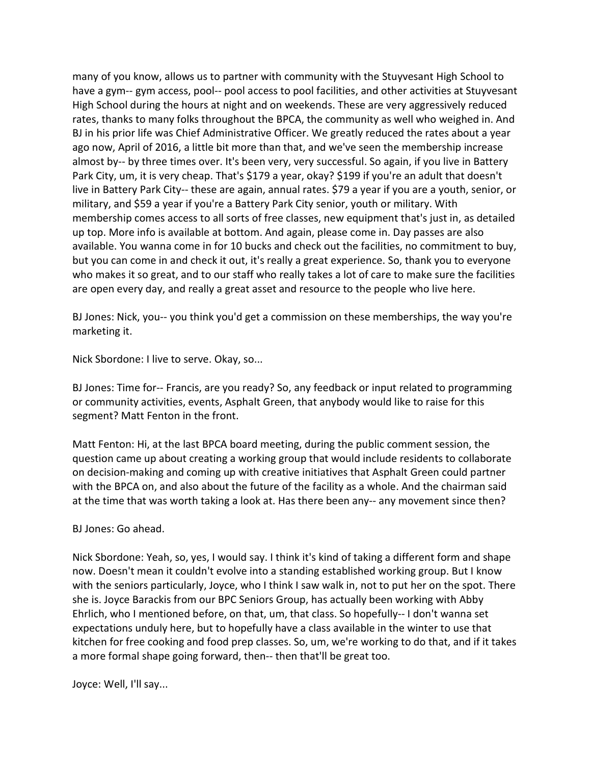many of you know, allows us to partner with community with the Stuyvesant High School to have a gym-- gym access, pool-- pool access to pool facilities, and other activities at Stuyvesant High School during the hours at night and on weekends. These are very aggressively reduced rates, thanks to many folks throughout the BPCA, the community as well who weighed in. And BJ in his prior life was Chief Administrative Officer. We greatly reduced the rates about a year ago now, April of 2016, a little bit more than that, and we've seen the membership increase almost by-- by three times over. It's been very, very successful. So again, if you live in Battery Park City, um, it is very cheap. That's \$179 a year, okay? \$199 if you're an adult that doesn't live in Battery Park City-- these are again, annual rates. \$79 a year if you are a youth, senior, or military, and \$59 a year if you're a Battery Park City senior, youth or military. With membership comes access to all sorts of free classes, new equipment that's just in, as detailed up top. More info is available at bottom. And again, please come in. Day passes are also available. You wanna come in for 10 bucks and check out the facilities, no commitment to buy, but you can come in and check it out, it's really a great experience. So, thank you to everyone who makes it so great, and to our staff who really takes a lot of care to make sure the facilities are open every day, and really a great asset and resource to the people who live here.

BJ Jones: Nick, you-- you think you'd get a commission on these memberships, the way you're marketing it.

Nick Sbordone: I live to serve. Okay, so...

BJ Jones: Time for-- Francis, are you ready? So, any feedback or input related to programming or community activities, events, Asphalt Green, that anybody would like to raise for this segment? Matt Fenton in the front.

Matt Fenton: Hi, at the last BPCA board meeting, during the public comment session, the question came up about creating a working group that would include residents to collaborate on decision-making and coming up with creative initiatives that Asphalt Green could partner with the BPCA on, and also about the future of the facility as a whole. And the chairman said at the time that was worth taking a look at. Has there been any-- any movement since then?

## BJ Jones: Go ahead.

Nick Sbordone: Yeah, so, yes, I would say. I think it's kind of taking a different form and shape now. Doesn't mean it couldn't evolve into a standing established working group. But I know with the seniors particularly, Joyce, who I think I saw walk in, not to put her on the spot. There she is. Joyce Barackis from our BPC Seniors Group, has actually been working with Abby Ehrlich, who I mentioned before, on that, um, that class. So hopefully-- I don't wanna set expectations unduly here, but to hopefully have a class available in the winter to use that kitchen for free cooking and food prep classes. So, um, we're working to do that, and if it takes a more formal shape going forward, then-- then that'll be great too.

Joyce: Well, I'll say...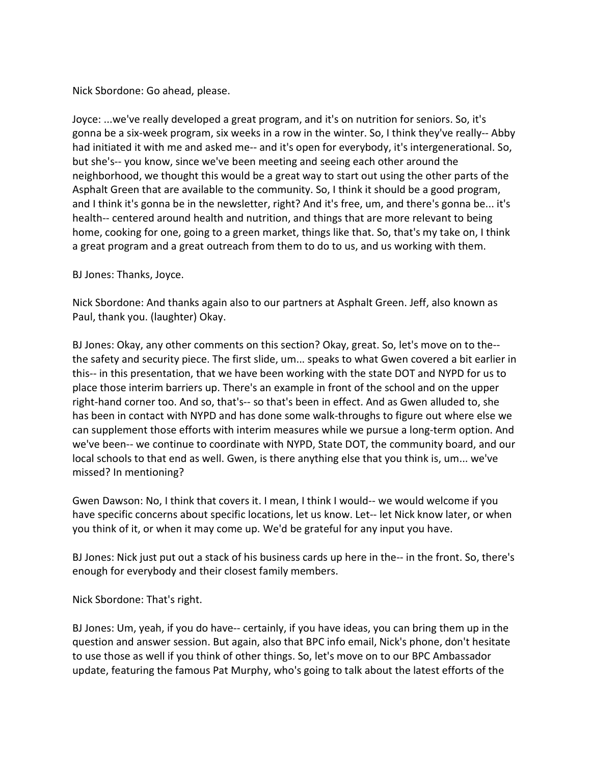Nick Sbordone: Go ahead, please.

Joyce: ...we've really developed a great program, and it's on nutrition for seniors. So, it's gonna be a six-week program, six weeks in a row in the winter. So, I think they've really-- Abby had initiated it with me and asked me-- and it's open for everybody, it's intergenerational. So, but she's-- you know, since we've been meeting and seeing each other around the neighborhood, we thought this would be a great way to start out using the other parts of the Asphalt Green that are available to the community. So, I think it should be a good program, and I think it's gonna be in the newsletter, right? And it's free, um, and there's gonna be... it's health-- centered around health and nutrition, and things that are more relevant to being home, cooking for one, going to a green market, things like that. So, that's my take on, I think a great program and a great outreach from them to do to us, and us working with them.

BJ Jones: Thanks, Joyce.

Nick Sbordone: And thanks again also to our partners at Asphalt Green. Jeff, also known as Paul, thank you. (laughter) Okay.

BJ Jones: Okay, any other comments on this section? Okay, great. So, let's move on to the- the safety and security piece. The first slide, um... speaks to what Gwen covered a bit earlier in this-- in this presentation, that we have been working with the state DOT and NYPD for us to place those interim barriers up. There's an example in front of the school and on the upper right-hand corner too. And so, that's-- so that's been in effect. And as Gwen alluded to, she has been in contact with NYPD and has done some walk-throughs to figure out where else we can supplement those efforts with interim measures while we pursue a long-term option. And we've been-- we continue to coordinate with NYPD, State DOT, the community board, and our local schools to that end as well. Gwen, is there anything else that you think is, um... we've missed? In mentioning?

Gwen Dawson: No, I think that covers it. I mean, I think I would-- we would welcome if you have specific concerns about specific locations, let us know. Let-- let Nick know later, or when you think of it, or when it may come up. We'd be grateful for any input you have.

BJ Jones: Nick just put out a stack of his business cards up here in the-- in the front. So, there's enough for everybody and their closest family members.

Nick Sbordone: That's right.

BJ Jones: Um, yeah, if you do have-- certainly, if you have ideas, you can bring them up in the question and answer session. But again, also that BPC info email, Nick's phone, don't hesitate to use those as well if you think of other things. So, let's move on to our BPC Ambassador update, featuring the famous Pat Murphy, who's going to talk about the latest efforts of the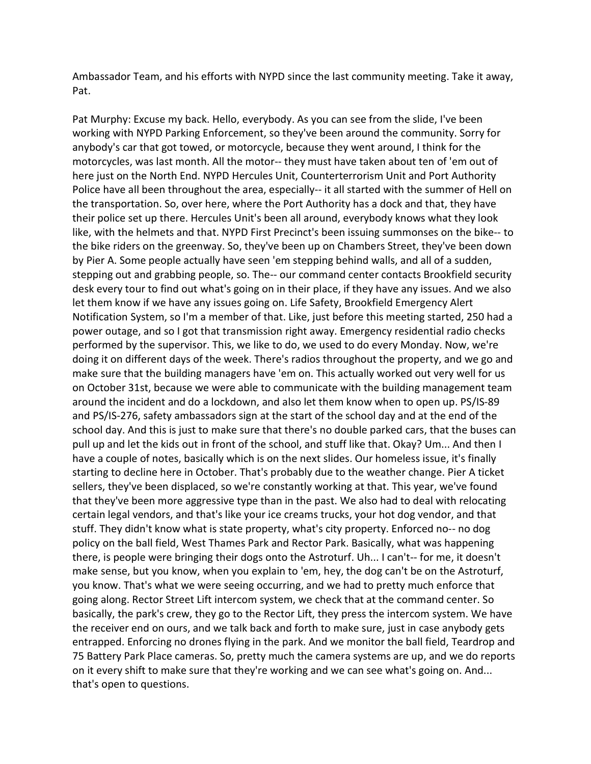Ambassador Team, and his efforts with NYPD since the last community meeting. Take it away, Pat.

Pat Murphy: Excuse my back. Hello, everybody. As you can see from the slide, I've been working with NYPD Parking Enforcement, so they've been around the community. Sorry for anybody's car that got towed, or motorcycle, because they went around, I think for the motorcycles, was last month. All the motor-- they must have taken about ten of 'em out of here just on the North End. NYPD Hercules Unit, Counterterrorism Unit and Port Authority Police have all been throughout the area, especially-- it all started with the summer of Hell on the transportation. So, over here, where the Port Authority has a dock and that, they have their police set up there. Hercules Unit's been all around, everybody knows what they look like, with the helmets and that. NYPD First Precinct's been issuing summonses on the bike-- to the bike riders on the greenway. So, they've been up on Chambers Street, they've been down by Pier A. Some people actually have seen 'em stepping behind walls, and all of a sudden, stepping out and grabbing people, so. The-- our command center contacts Brookfield security desk every tour to find out what's going on in their place, if they have any issues. And we also let them know if we have any issues going on. Life Safety, Brookfield Emergency Alert Notification System, so I'm a member of that. Like, just before this meeting started, 250 had a power outage, and so I got that transmission right away. Emergency residential radio checks performed by the supervisor. This, we like to do, we used to do every Monday. Now, we're doing it on different days of the week. There's radios throughout the property, and we go and make sure that the building managers have 'em on. This actually worked out very well for us on October 31st, because we were able to communicate with the building management team around the incident and do a lockdown, and also let them know when to open up. PS/IS-89 and PS/IS-276, safety ambassadors sign at the start of the school day and at the end of the school day. And this is just to make sure that there's no double parked cars, that the buses can pull up and let the kids out in front of the school, and stuff like that. Okay? Um... And then I have a couple of notes, basically which is on the next slides. Our homeless issue, it's finally starting to decline here in October. That's probably due to the weather change. Pier A ticket sellers, they've been displaced, so we're constantly working at that. This year, we've found that they've been more aggressive type than in the past. We also had to deal with relocating certain legal vendors, and that's like your ice creams trucks, your hot dog vendor, and that stuff. They didn't know what is state property, what's city property. Enforced no-- no dog policy on the ball field, West Thames Park and Rector Park. Basically, what was happening there, is people were bringing their dogs onto the Astroturf. Uh... I can't-- for me, it doesn't make sense, but you know, when you explain to 'em, hey, the dog can't be on the Astroturf, you know. That's what we were seeing occurring, and we had to pretty much enforce that going along. Rector Street Lift intercom system, we check that at the command center. So basically, the park's crew, they go to the Rector Lift, they press the intercom system. We have the receiver end on ours, and we talk back and forth to make sure, just in case anybody gets entrapped. Enforcing no drones flying in the park. And we monitor the ball field, Teardrop and 75 Battery Park Place cameras. So, pretty much the camera systems are up, and we do reports on it every shift to make sure that they're working and we can see what's going on. And... that's open to questions.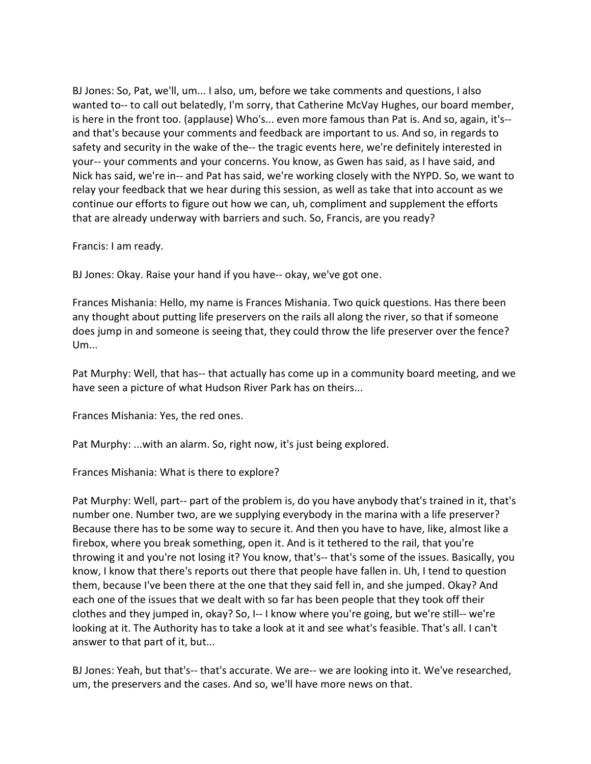BJ Jones: So, Pat, we'll, um... I also, um, before we take comments and questions, I also wanted to-- to call out belatedly, I'm sorry, that Catherine McVay Hughes, our board member, is here in the front too. (applause) Who's... even more famous than Pat is. And so, again, it's- and that's because your comments and feedback are important to us. And so, in regards to safety and security in the wake of the-- the tragic events here, we're definitely interested in your-- your comments and your concerns. You know, as Gwen has said, as I have said, and Nick has said, we're in-- and Pat has said, we're working closely with the NYPD. So, we want to relay your feedback that we hear during this session, as well as take that into account as we continue our efforts to figure out how we can, uh, compliment and supplement the efforts that are already underway with barriers and such. So, Francis, are you ready?

Francis: I am ready.

BJ Jones: Okay. Raise your hand if you have-- okay, we've got one.

Frances Mishania: Hello, my name is Frances Mishania. Two quick questions. Has there been any thought about putting life preservers on the rails all along the river, so that if someone does jump in and someone is seeing that, they could throw the life preserver over the fence? Um...

Pat Murphy: Well, that has-- that actually has come up in a community board meeting, and we have seen a picture of what Hudson River Park has on theirs...

Frances Mishania: Yes, the red ones.

Pat Murphy: ...with an alarm. So, right now, it's just being explored.

Frances Mishania: What is there to explore?

Pat Murphy: Well, part-- part of the problem is, do you have anybody that's trained in it, that's number one. Number two, are we supplying everybody in the marina with a life preserver? Because there has to be some way to secure it. And then you have to have, like, almost like a firebox, where you break something, open it. And is it tethered to the rail, that you're throwing it and you're not losing it? You know, that's-- that's some of the issues. Basically, you know, I know that there's reports out there that people have fallen in. Uh, I tend to question them, because I've been there at the one that they said fell in, and she jumped. Okay? And each one of the issues that we dealt with so far has been people that they took off their clothes and they jumped in, okay? So, I-- I know where you're going, but we're still-- we're looking at it. The Authority has to take a look at it and see what's feasible. That's all. I can't answer to that part of it, but...

BJ Jones: Yeah, but that's-- that's accurate. We are-- we are looking into it. We've researched, um, the preservers and the cases. And so, we'll have more news on that.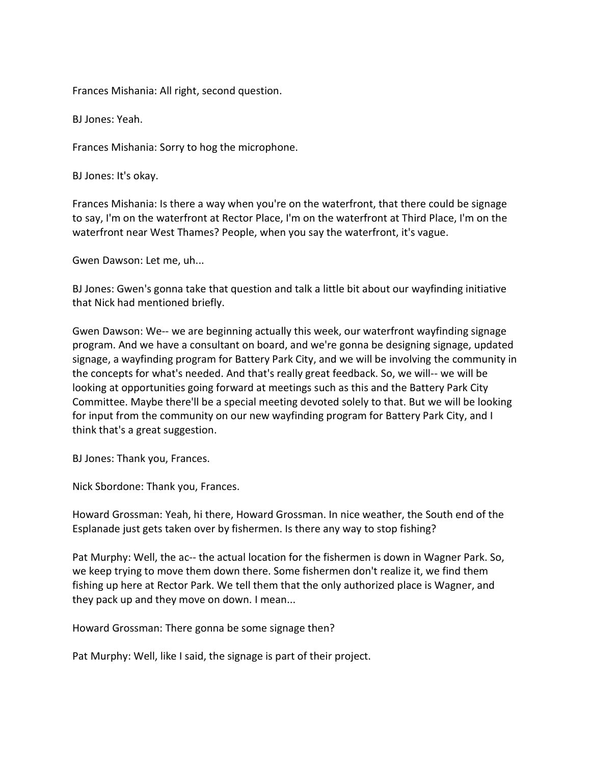Frances Mishania: All right, second question.

BJ Jones: Yeah.

Frances Mishania: Sorry to hog the microphone.

BJ Jones: It's okay.

Frances Mishania: Is there a way when you're on the waterfront, that there could be signage to say, I'm on the waterfront at Rector Place, I'm on the waterfront at Third Place, I'm on the waterfront near West Thames? People, when you say the waterfront, it's vague.

Gwen Dawson: Let me, uh...

BJ Jones: Gwen's gonna take that question and talk a little bit about our wayfinding initiative that Nick had mentioned briefly.

Gwen Dawson: We-- we are beginning actually this week, our waterfront wayfinding signage program. And we have a consultant on board, and we're gonna be designing signage, updated signage, a wayfinding program for Battery Park City, and we will be involving the community in the concepts for what's needed. And that's really great feedback. So, we will-- we will be looking at opportunities going forward at meetings such as this and the Battery Park City Committee. Maybe there'll be a special meeting devoted solely to that. But we will be looking for input from the community on our new wayfinding program for Battery Park City, and I think that's a great suggestion.

BJ Jones: Thank you, Frances.

Nick Sbordone: Thank you, Frances.

Howard Grossman: Yeah, hi there, Howard Grossman. In nice weather, the South end of the Esplanade just gets taken over by fishermen. Is there any way to stop fishing?

Pat Murphy: Well, the ac-- the actual location for the fishermen is down in Wagner Park. So, we keep trying to move them down there. Some fishermen don't realize it, we find them fishing up here at Rector Park. We tell them that the only authorized place is Wagner, and they pack up and they move on down. I mean...

Howard Grossman: There gonna be some signage then?

Pat Murphy: Well, like I said, the signage is part of their project.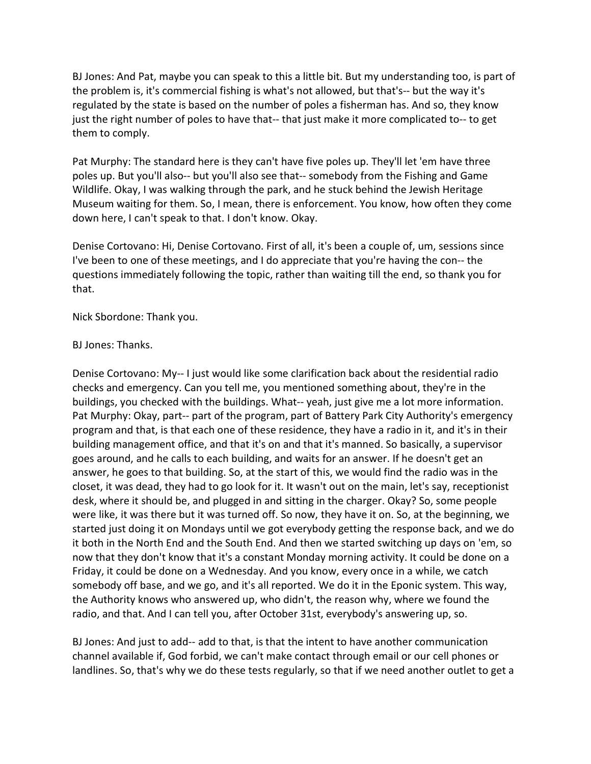BJ Jones: And Pat, maybe you can speak to this a little bit. But my understanding too, is part of the problem is, it's commercial fishing is what's not allowed, but that's-- but the way it's regulated by the state is based on the number of poles a fisherman has. And so, they know just the right number of poles to have that-- that just make it more complicated to-- to get them to comply.

Pat Murphy: The standard here is they can't have five poles up. They'll let 'em have three poles up. But you'll also-- but you'll also see that-- somebody from the Fishing and Game Wildlife. Okay, I was walking through the park, and he stuck behind the Jewish Heritage Museum waiting for them. So, I mean, there is enforcement. You know, how often they come down here, I can't speak to that. I don't know. Okay.

Denise Cortovano: Hi, Denise Cortovano. First of all, it's been a couple of, um, sessions since I've been to one of these meetings, and I do appreciate that you're having the con-- the questions immediately following the topic, rather than waiting till the end, so thank you for that.

Nick Sbordone: Thank you.

## BJ Jones: Thanks.

Denise Cortovano: My-- I just would like some clarification back about the residential radio checks and emergency. Can you tell me, you mentioned something about, they're in the buildings, you checked with the buildings. What-- yeah, just give me a lot more information. Pat Murphy: Okay, part-- part of the program, part of Battery Park City Authority's emergency program and that, is that each one of these residence, they have a radio in it, and it's in their building management office, and that it's on and that it's manned. So basically, a supervisor goes around, and he calls to each building, and waits for an answer. If he doesn't get an answer, he goes to that building. So, at the start of this, we would find the radio was in the closet, it was dead, they had to go look for it. It wasn't out on the main, let's say, receptionist desk, where it should be, and plugged in and sitting in the charger. Okay? So, some people were like, it was there but it was turned off. So now, they have it on. So, at the beginning, we started just doing it on Mondays until we got everybody getting the response back, and we do it both in the North End and the South End. And then we started switching up days on 'em, so now that they don't know that it's a constant Monday morning activity. It could be done on a Friday, it could be done on a Wednesday. And you know, every once in a while, we catch somebody off base, and we go, and it's all reported. We do it in the Eponic system. This way, the Authority knows who answered up, who didn't, the reason why, where we found the radio, and that. And I can tell you, after October 31st, everybody's answering up, so.

BJ Jones: And just to add-- add to that, is that the intent to have another communication channel available if, God forbid, we can't make contact through email or our cell phones or landlines. So, that's why we do these tests regularly, so that if we need another outlet to get a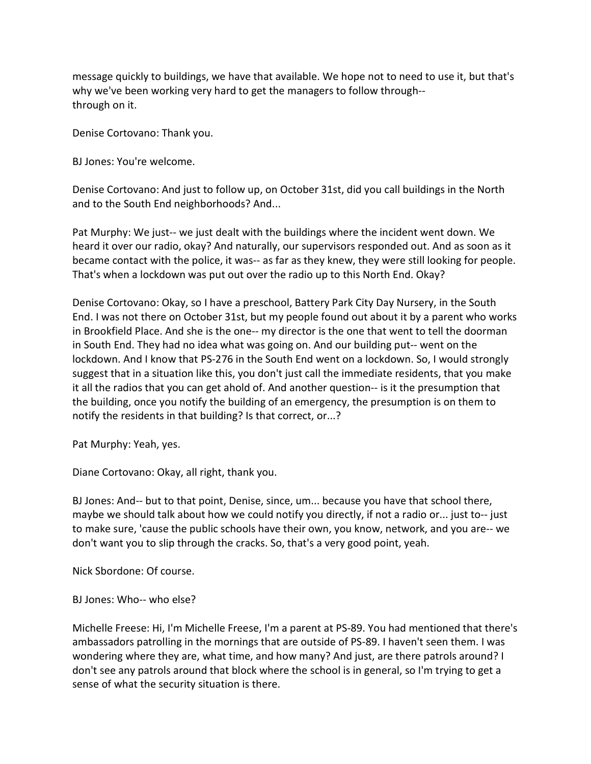message quickly to buildings, we have that available. We hope not to need to use it, but that's why we've been working very hard to get the managers to follow through- through on it.

Denise Cortovano: Thank you.

BJ Jones: You're welcome.

Denise Cortovano: And just to follow up, on October 31st, did you call buildings in the North and to the South End neighborhoods? And...

Pat Murphy: We just-- we just dealt with the buildings where the incident went down. We heard it over our radio, okay? And naturally, our supervisors responded out. And as soon as it became contact with the police, it was-- as far as they knew, they were still looking for people. That's when a lockdown was put out over the radio up to this North End. Okay?

Denise Cortovano: Okay, so I have a preschool, Battery Park City Day Nursery, in the South End. I was not there on October 31st, but my people found out about it by a parent who works in Brookfield Place. And she is the one-- my director is the one that went to tell the doorman in South End. They had no idea what was going on. And our building put-- went on the lockdown. And I know that PS-276 in the South End went on a lockdown. So, I would strongly suggest that in a situation like this, you don't just call the immediate residents, that you make it all the radios that you can get ahold of. And another question-- is it the presumption that the building, once you notify the building of an emergency, the presumption is on them to notify the residents in that building? Is that correct, or...?

Pat Murphy: Yeah, yes.

Diane Cortovano: Okay, all right, thank you.

BJ Jones: And-- but to that point, Denise, since, um... because you have that school there, maybe we should talk about how we could notify you directly, if not a radio or... just to-- just to make sure, 'cause the public schools have their own, you know, network, and you are-- we don't want you to slip through the cracks. So, that's a very good point, yeah.

Nick Sbordone: Of course.

BJ Jones: Who-- who else?

Michelle Freese: Hi, I'm Michelle Freese, I'm a parent at PS-89. You had mentioned that there's ambassadors patrolling in the mornings that are outside of PS-89. I haven't seen them. I was wondering where they are, what time, and how many? And just, are there patrols around? I don't see any patrols around that block where the school is in general, so I'm trying to get a sense of what the security situation is there.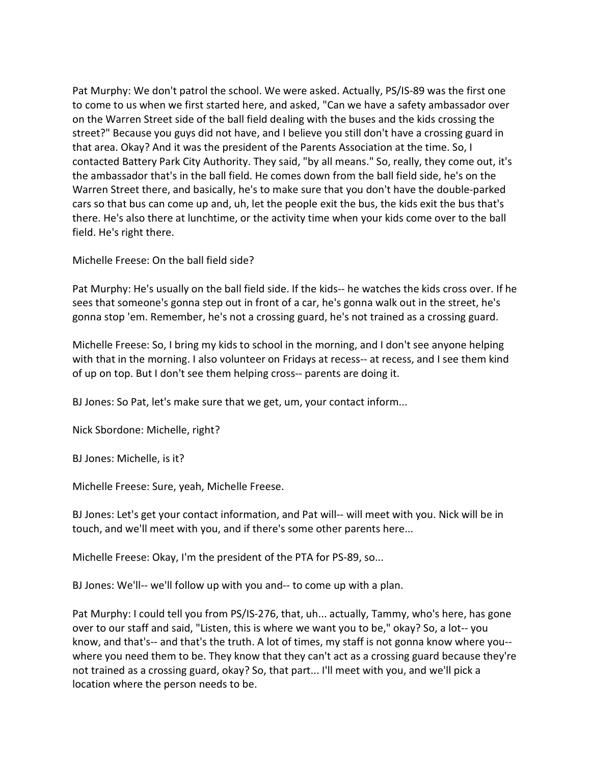Pat Murphy: We don't patrol the school. We were asked. Actually, PS/IS-89 was the first one to come to us when we first started here, and asked, "Can we have a safety ambassador over on the Warren Street side of the ball field dealing with the buses and the kids crossing the street?" Because you guys did not have, and I believe you still don't have a crossing guard in that area. Okay? And it was the president of the Parents Association at the time. So, I contacted Battery Park City Authority. They said, "by all means." So, really, they come out, it's the ambassador that's in the ball field. He comes down from the ball field side, he's on the Warren Street there, and basically, he's to make sure that you don't have the double-parked cars so that bus can come up and, uh, let the people exit the bus, the kids exit the bus that's there. He's also there at lunchtime, or the activity time when your kids come over to the ball field. He's right there.

Michelle Freese: On the ball field side?

Pat Murphy: He's usually on the ball field side. If the kids-- he watches the kids cross over. If he sees that someone's gonna step out in front of a car, he's gonna walk out in the street, he's gonna stop 'em. Remember, he's not a crossing guard, he's not trained as a crossing guard.

Michelle Freese: So, I bring my kids to school in the morning, and I don't see anyone helping with that in the morning. I also volunteer on Fridays at recess-- at recess, and I see them kind of up on top. But I don't see them helping cross-- parents are doing it.

BJ Jones: So Pat, let's make sure that we get, um, your contact inform...

Nick Sbordone: Michelle, right?

BJ Jones: Michelle, is it?

Michelle Freese: Sure, yeah, Michelle Freese.

BJ Jones: Let's get your contact information, and Pat will-- will meet with you. Nick will be in touch, and we'll meet with you, and if there's some other parents here...

Michelle Freese: Okay, I'm the president of the PTA for PS-89, so...

BJ Jones: We'll-- we'll follow up with you and-- to come up with a plan.

Pat Murphy: I could tell you from PS/IS-276, that, uh... actually, Tammy, who's here, has gone over to our staff and said, "Listen, this is where we want you to be," okay? So, a lot-- you know, and that's-- and that's the truth. A lot of times, my staff is not gonna know where you- where you need them to be. They know that they can't act as a crossing guard because they're not trained as a crossing guard, okay? So, that part... I'll meet with you, and we'll pick a location where the person needs to be.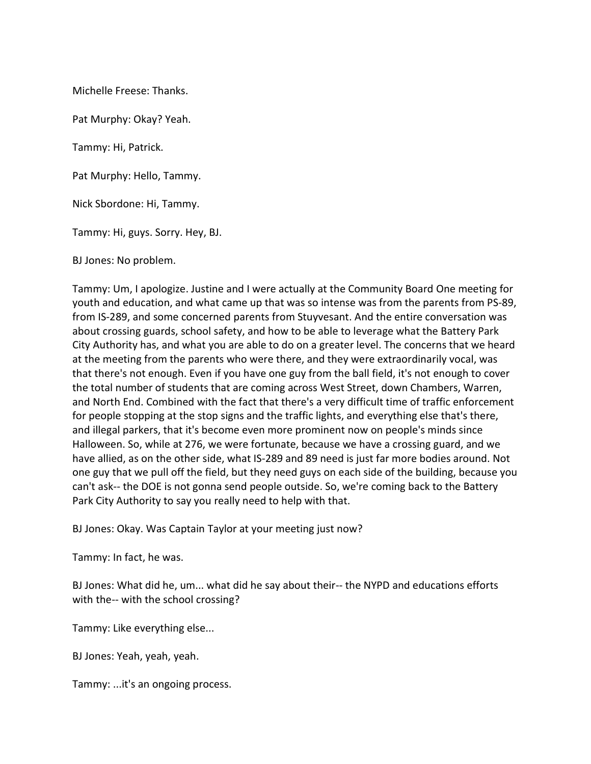Michelle Freese: Thanks.

Pat Murphy: Okay? Yeah.

Tammy: Hi, Patrick.

Pat Murphy: Hello, Tammy.

Nick Sbordone: Hi, Tammy.

Tammy: Hi, guys. Sorry. Hey, BJ.

BJ Jones: No problem.

Tammy: Um, I apologize. Justine and I were actually at the Community Board One meeting for youth and education, and what came up that was so intense was from the parents from PS-89, from IS-289, and some concerned parents from Stuyvesant. And the entire conversation was about crossing guards, school safety, and how to be able to leverage what the Battery Park City Authority has, and what you are able to do on a greater level. The concerns that we heard at the meeting from the parents who were there, and they were extraordinarily vocal, was that there's not enough. Even if you have one guy from the ball field, it's not enough to cover the total number of students that are coming across West Street, down Chambers, Warren, and North End. Combined with the fact that there's a very difficult time of traffic enforcement for people stopping at the stop signs and the traffic lights, and everything else that's there, and illegal parkers, that it's become even more prominent now on people's minds since Halloween. So, while at 276, we were fortunate, because we have a crossing guard, and we have allied, as on the other side, what IS-289 and 89 need is just far more bodies around. Not one guy that we pull off the field, but they need guys on each side of the building, because you can't ask-- the DOE is not gonna send people outside. So, we're coming back to the Battery Park City Authority to say you really need to help with that.

BJ Jones: Okay. Was Captain Taylor at your meeting just now?

Tammy: In fact, he was.

BJ Jones: What did he, um... what did he say about their-- the NYPD and educations efforts with the-- with the school crossing?

Tammy: Like everything else...

BJ Jones: Yeah, yeah, yeah.

Tammy: ...it's an ongoing process.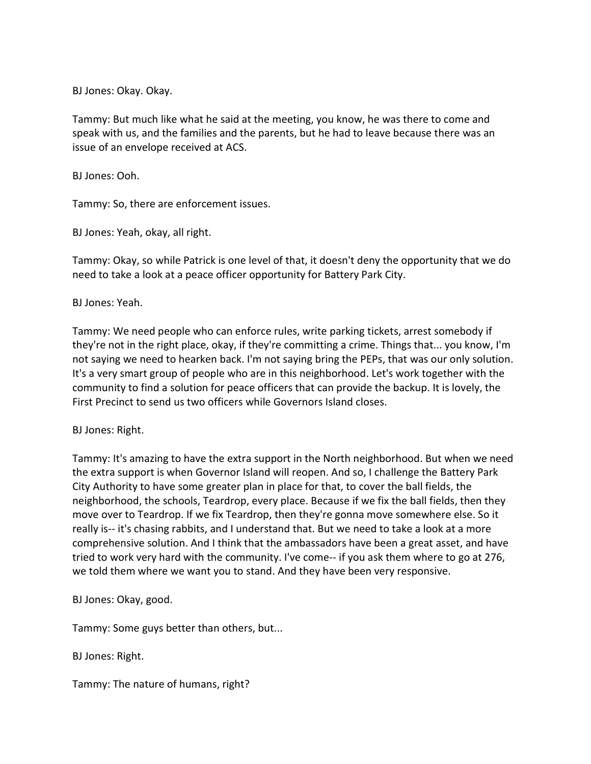BJ Jones: Okay. Okay.

Tammy: But much like what he said at the meeting, you know, he was there to come and speak with us, and the families and the parents, but he had to leave because there was an issue of an envelope received at ACS.

BJ Jones: Ooh.

Tammy: So, there are enforcement issues.

BJ Jones: Yeah, okay, all right.

Tammy: Okay, so while Patrick is one level of that, it doesn't deny the opportunity that we do need to take a look at a peace officer opportunity for Battery Park City.

BJ Jones: Yeah.

Tammy: We need people who can enforce rules, write parking tickets, arrest somebody if they're not in the right place, okay, if they're committing a crime. Things that... you know, I'm not saying we need to hearken back. I'm not saying bring the PEPs, that was our only solution. It's a very smart group of people who are in this neighborhood. Let's work together with the community to find a solution for peace officers that can provide the backup. It is lovely, the First Precinct to send us two officers while Governors Island closes.

BJ Jones: Right.

Tammy: It's amazing to have the extra support in the North neighborhood. But when we need the extra support is when Governor Island will reopen. And so, I challenge the Battery Park City Authority to have some greater plan in place for that, to cover the ball fields, the neighborhood, the schools, Teardrop, every place. Because if we fix the ball fields, then they move over to Teardrop. If we fix Teardrop, then they're gonna move somewhere else. So it really is-- it's chasing rabbits, and I understand that. But we need to take a look at a more comprehensive solution. And I think that the ambassadors have been a great asset, and have tried to work very hard with the community. I've come-- if you ask them where to go at 276, we told them where we want you to stand. And they have been very responsive.

BJ Jones: Okay, good.

Tammy: Some guys better than others, but...

BJ Jones: Right.

Tammy: The nature of humans, right?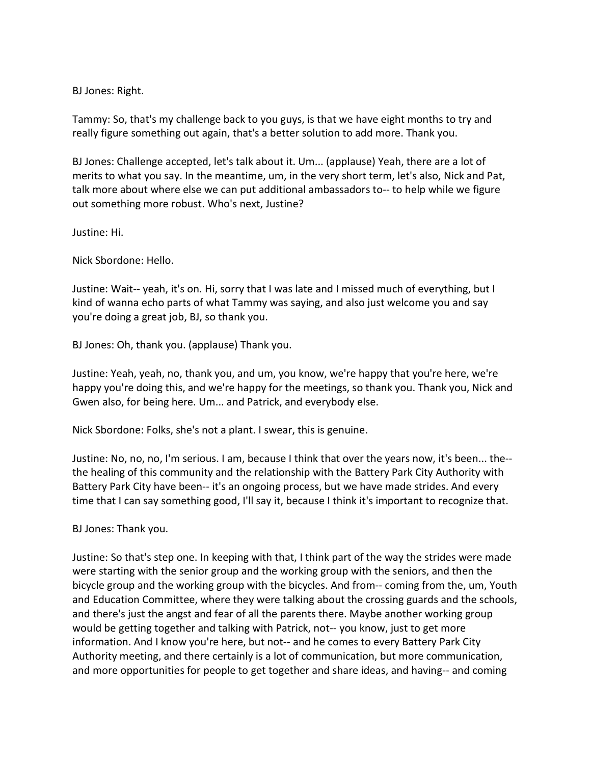BJ Jones: Right.

Tammy: So, that's my challenge back to you guys, is that we have eight months to try and really figure something out again, that's a better solution to add more. Thank you.

BJ Jones: Challenge accepted, let's talk about it. Um... (applause) Yeah, there are a lot of merits to what you say. In the meantime, um, in the very short term, let's also, Nick and Pat, talk more about where else we can put additional ambassadors to-- to help while we figure out something more robust. Who's next, Justine?

Justine: Hi.

Nick Sbordone: Hello.

Justine: Wait-- yeah, it's on. Hi, sorry that I was late and I missed much of everything, but I kind of wanna echo parts of what Tammy was saying, and also just welcome you and say you're doing a great job, BJ, so thank you.

BJ Jones: Oh, thank you. (applause) Thank you.

Justine: Yeah, yeah, no, thank you, and um, you know, we're happy that you're here, we're happy you're doing this, and we're happy for the meetings, so thank you. Thank you, Nick and Gwen also, for being here. Um... and Patrick, and everybody else.

Nick Sbordone: Folks, she's not a plant. I swear, this is genuine.

Justine: No, no, no, I'm serious. I am, because I think that over the years now, it's been... the- the healing of this community and the relationship with the Battery Park City Authority with Battery Park City have been-- it's an ongoing process, but we have made strides. And every time that I can say something good, I'll say it, because I think it's important to recognize that.

BJ Jones: Thank you.

Justine: So that's step one. In keeping with that, I think part of the way the strides were made were starting with the senior group and the working group with the seniors, and then the bicycle group and the working group with the bicycles. And from-- coming from the, um, Youth and Education Committee, where they were talking about the crossing guards and the schools, and there's just the angst and fear of all the parents there. Maybe another working group would be getting together and talking with Patrick, not-- you know, just to get more information. And I know you're here, but not-- and he comes to every Battery Park City Authority meeting, and there certainly is a lot of communication, but more communication, and more opportunities for people to get together and share ideas, and having-- and coming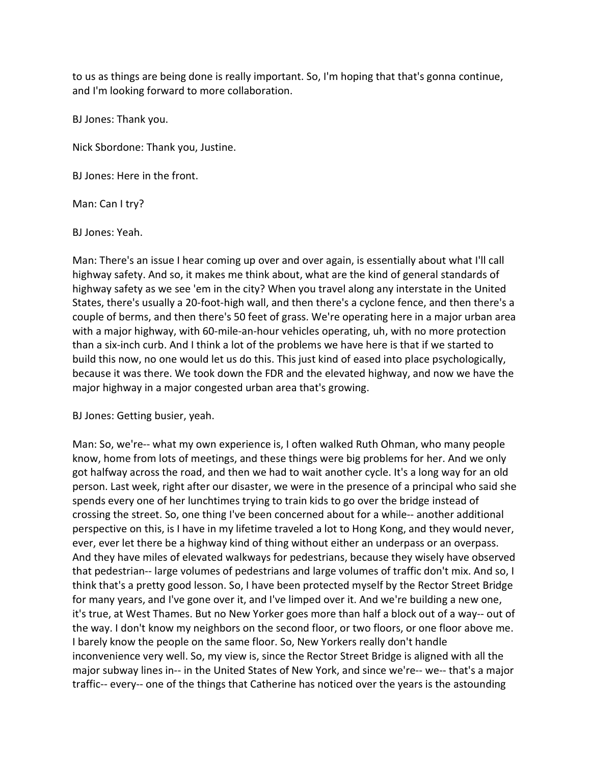to us as things are being done is really important. So, I'm hoping that that's gonna continue, and I'm looking forward to more collaboration.

BJ Jones: Thank you.

Nick Sbordone: Thank you, Justine.

BJ Jones: Here in the front.

Man: Can I try?

BJ Jones: Yeah.

Man: There's an issue I hear coming up over and over again, is essentially about what I'll call highway safety. And so, it makes me think about, what are the kind of general standards of highway safety as we see 'em in the city? When you travel along any interstate in the United States, there's usually a 20-foot-high wall, and then there's a cyclone fence, and then there's a couple of berms, and then there's 50 feet of grass. We're operating here in a major urban area with a major highway, with 60-mile-an-hour vehicles operating, uh, with no more protection than a six-inch curb. And I think a lot of the problems we have here is that if we started to build this now, no one would let us do this. This just kind of eased into place psychologically, because it was there. We took down the FDR and the elevated highway, and now we have the major highway in a major congested urban area that's growing.

BJ Jones: Getting busier, yeah.

Man: So, we're-- what my own experience is, I often walked Ruth Ohman, who many people know, home from lots of meetings, and these things were big problems for her. And we only got halfway across the road, and then we had to wait another cycle. It's a long way for an old person. Last week, right after our disaster, we were in the presence of a principal who said she spends every one of her lunchtimes trying to train kids to go over the bridge instead of crossing the street. So, one thing I've been concerned about for a while-- another additional perspective on this, is I have in my lifetime traveled a lot to Hong Kong, and they would never, ever, ever let there be a highway kind of thing without either an underpass or an overpass. And they have miles of elevated walkways for pedestrians, because they wisely have observed that pedestrian-- large volumes of pedestrians and large volumes of traffic don't mix. And so, I think that's a pretty good lesson. So, I have been protected myself by the Rector Street Bridge for many years, and I've gone over it, and I've limped over it. And we're building a new one, it's true, at West Thames. But no New Yorker goes more than half a block out of a way-- out of the way. I don't know my neighbors on the second floor, or two floors, or one floor above me. I barely know the people on the same floor. So, New Yorkers really don't handle inconvenience very well. So, my view is, since the Rector Street Bridge is aligned with all the major subway lines in-- in the United States of New York, and since we're-- we-- that's a major traffic-- every-- one of the things that Catherine has noticed over the years is the astounding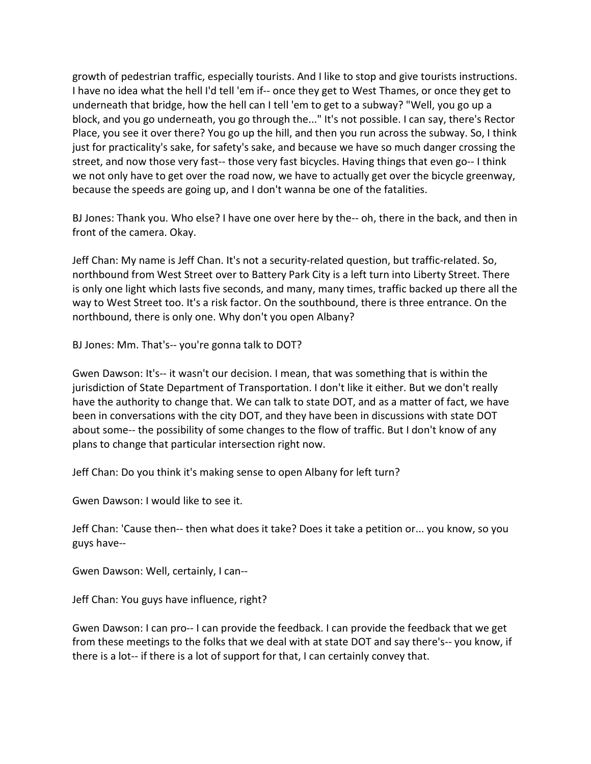growth of pedestrian traffic, especially tourists. And I like to stop and give tourists instructions. I have no idea what the hell I'd tell 'em if-- once they get to West Thames, or once they get to underneath that bridge, how the hell can I tell 'em to get to a subway? "Well, you go up a block, and you go underneath, you go through the..." It's not possible. I can say, there's Rector Place, you see it over there? You go up the hill, and then you run across the subway. So, I think just for practicality's sake, for safety's sake, and because we have so much danger crossing the street, and now those very fast-- those very fast bicycles. Having things that even go-- I think we not only have to get over the road now, we have to actually get over the bicycle greenway, because the speeds are going up, and I don't wanna be one of the fatalities.

BJ Jones: Thank you. Who else? I have one over here by the-- oh, there in the back, and then in front of the camera. Okay.

Jeff Chan: My name is Jeff Chan. It's not a security-related question, but traffic-related. So, northbound from West Street over to Battery Park City is a left turn into Liberty Street. There is only one light which lasts five seconds, and many, many times, traffic backed up there all the way to West Street too. It's a risk factor. On the southbound, there is three entrance. On the northbound, there is only one. Why don't you open Albany?

BJ Jones: Mm. That's-- you're gonna talk to DOT?

Gwen Dawson: It's-- it wasn't our decision. I mean, that was something that is within the jurisdiction of State Department of Transportation. I don't like it either. But we don't really have the authority to change that. We can talk to state DOT, and as a matter of fact, we have been in conversations with the city DOT, and they have been in discussions with state DOT about some-- the possibility of some changes to the flow of traffic. But I don't know of any plans to change that particular intersection right now.

Jeff Chan: Do you think it's making sense to open Albany for left turn?

Gwen Dawson: I would like to see it.

Jeff Chan: 'Cause then-- then what does it take? Does it take a petition or... you know, so you guys have--

Gwen Dawson: Well, certainly, I can--

Jeff Chan: You guys have influence, right?

Gwen Dawson: I can pro-- I can provide the feedback. I can provide the feedback that we get from these meetings to the folks that we deal with at state DOT and say there's-- you know, if there is a lot-- if there is a lot of support for that, I can certainly convey that.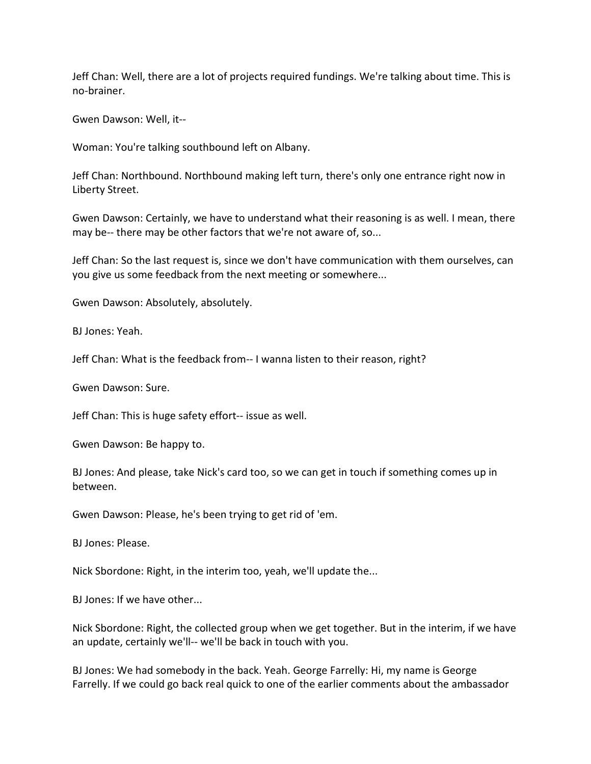Jeff Chan: Well, there are a lot of projects required fundings. We're talking about time. This is no-brainer.

Gwen Dawson: Well, it--

Woman: You're talking southbound left on Albany.

Jeff Chan: Northbound. Northbound making left turn, there's only one entrance right now in Liberty Street.

Gwen Dawson: Certainly, we have to understand what their reasoning is as well. I mean, there may be-- there may be other factors that we're not aware of, so...

Jeff Chan: So the last request is, since we don't have communication with them ourselves, can you give us some feedback from the next meeting or somewhere...

Gwen Dawson: Absolutely, absolutely.

BJ Jones: Yeah.

Jeff Chan: What is the feedback from-- I wanna listen to their reason, right?

Gwen Dawson: Sure.

Jeff Chan: This is huge safety effort-- issue as well.

Gwen Dawson: Be happy to.

BJ Jones: And please, take Nick's card too, so we can get in touch if something comes up in between.

Gwen Dawson: Please, he's been trying to get rid of 'em.

BJ Jones: Please.

Nick Sbordone: Right, in the interim too, yeah, we'll update the...

BJ Jones: If we have other...

Nick Sbordone: Right, the collected group when we get together. But in the interim, if we have an update, certainly we'll-- we'll be back in touch with you.

BJ Jones: We had somebody in the back. Yeah. George Farrelly: Hi, my name is George Farrelly. If we could go back real quick to one of the earlier comments about the ambassador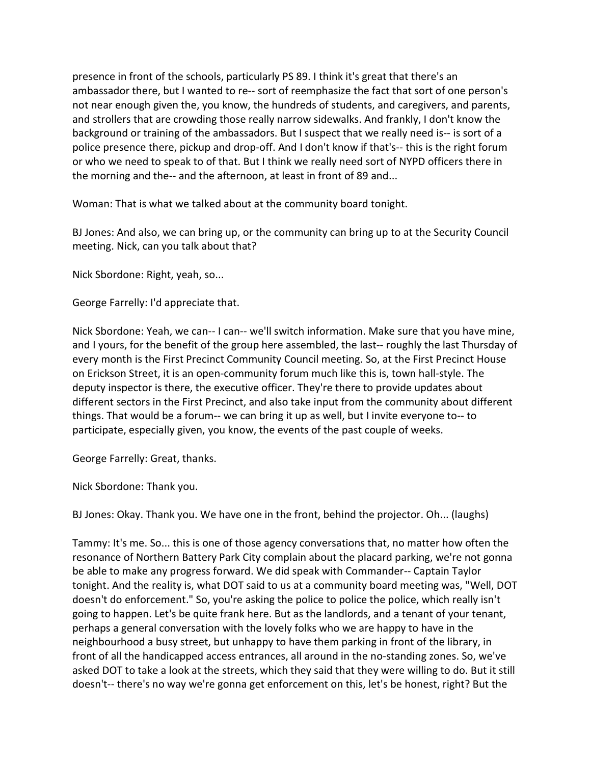presence in front of the schools, particularly PS 89. I think it's great that there's an ambassador there, but I wanted to re-- sort of reemphasize the fact that sort of one person's not near enough given the, you know, the hundreds of students, and caregivers, and parents, and strollers that are crowding those really narrow sidewalks. And frankly, I don't know the background or training of the ambassadors. But I suspect that we really need is-- is sort of a police presence there, pickup and drop-off. And I don't know if that's-- this is the right forum or who we need to speak to of that. But I think we really need sort of NYPD officers there in the morning and the-- and the afternoon, at least in front of 89 and...

Woman: That is what we talked about at the community board tonight.

BJ Jones: And also, we can bring up, or the community can bring up to at the Security Council meeting. Nick, can you talk about that?

Nick Sbordone: Right, yeah, so...

George Farrelly: I'd appreciate that.

Nick Sbordone: Yeah, we can-- I can-- we'll switch information. Make sure that you have mine, and I yours, for the benefit of the group here assembled, the last-- roughly the last Thursday of every month is the First Precinct Community Council meeting. So, at the First Precinct House on Erickson Street, it is an open-community forum much like this is, town hall-style. The deputy inspector is there, the executive officer. They're there to provide updates about different sectors in the First Precinct, and also take input from the community about different things. That would be a forum-- we can bring it up as well, but I invite everyone to-- to participate, especially given, you know, the events of the past couple of weeks.

George Farrelly: Great, thanks.

Nick Sbordone: Thank you.

BJ Jones: Okay. Thank you. We have one in the front, behind the projector. Oh... (laughs)

Tammy: It's me. So... this is one of those agency conversations that, no matter how often the resonance of Northern Battery Park City complain about the placard parking, we're not gonna be able to make any progress forward. We did speak with Commander-- Captain Taylor tonight. And the reality is, what DOT said to us at a community board meeting was, "Well, DOT doesn't do enforcement." So, you're asking the police to police the police, which really isn't going to happen. Let's be quite frank here. But as the landlords, and a tenant of your tenant, perhaps a general conversation with the lovely folks who we are happy to have in the neighbourhood a busy street, but unhappy to have them parking in front of the library, in front of all the handicapped access entrances, all around in the no-standing zones. So, we've asked DOT to take a look at the streets, which they said that they were willing to do. But it still doesn't-- there's no way we're gonna get enforcement on this, let's be honest, right? But the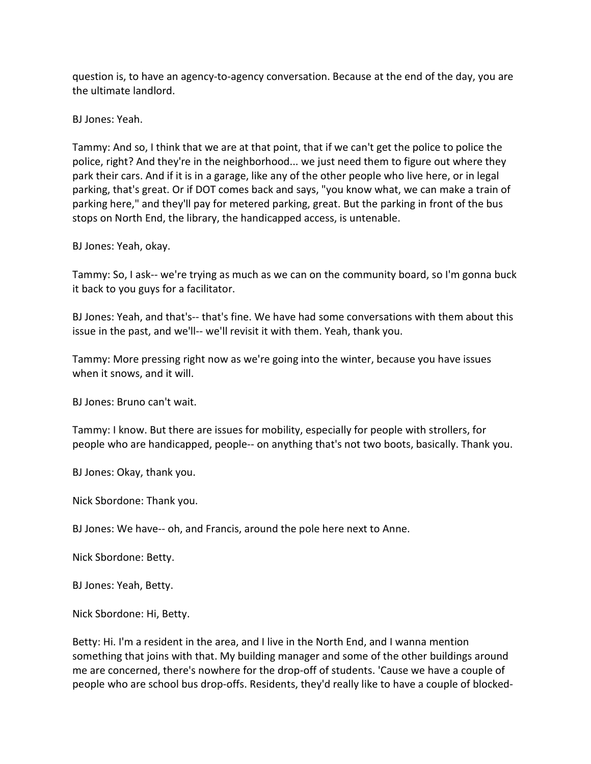question is, to have an agency-to-agency conversation. Because at the end of the day, you are the ultimate landlord.

BJ Jones: Yeah.

Tammy: And so, I think that we are at that point, that if we can't get the police to police the police, right? And they're in the neighborhood... we just need them to figure out where they park their cars. And if it is in a garage, like any of the other people who live here, or in legal parking, that's great. Or if DOT comes back and says, "you know what, we can make a train of parking here," and they'll pay for metered parking, great. But the parking in front of the bus stops on North End, the library, the handicapped access, is untenable.

BJ Jones: Yeah, okay.

Tammy: So, I ask-- we're trying as much as we can on the community board, so I'm gonna buck it back to you guys for a facilitator.

BJ Jones: Yeah, and that's-- that's fine. We have had some conversations with them about this issue in the past, and we'll-- we'll revisit it with them. Yeah, thank you.

Tammy: More pressing right now as we're going into the winter, because you have issues when it snows, and it will.

BJ Jones: Bruno can't wait.

Tammy: I know. But there are issues for mobility, especially for people with strollers, for people who are handicapped, people-- on anything that's not two boots, basically. Thank you.

BJ Jones: Okay, thank you.

Nick Sbordone: Thank you.

BJ Jones: We have-- oh, and Francis, around the pole here next to Anne.

Nick Sbordone: Betty.

BJ Jones: Yeah, Betty.

Nick Sbordone: Hi, Betty.

Betty: Hi. I'm a resident in the area, and I live in the North End, and I wanna mention something that joins with that. My building manager and some of the other buildings around me are concerned, there's nowhere for the drop-off of students. 'Cause we have a couple of people who are school bus drop-offs. Residents, they'd really like to have a couple of blocked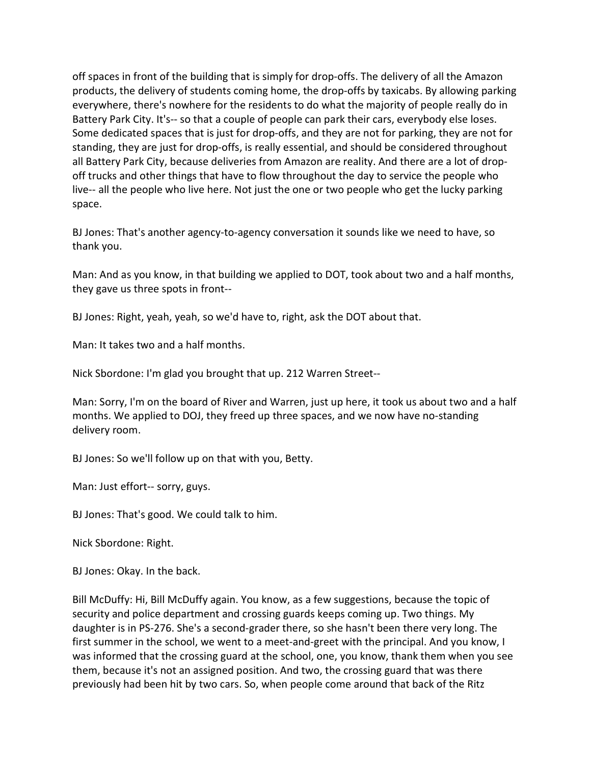off spaces in front of the building that is simply for drop-offs. The delivery of all the Amazon products, the delivery of students coming home, the drop-offs by taxicabs. By allowing parking everywhere, there's nowhere for the residents to do what the majority of people really do in Battery Park City. It's-- so that a couple of people can park their cars, everybody else loses. Some dedicated spaces that is just for drop-offs, and they are not for parking, they are not for standing, they are just for drop-offs, is really essential, and should be considered throughout all Battery Park City, because deliveries from Amazon are reality. And there are a lot of dropoff trucks and other things that have to flow throughout the day to service the people who live-- all the people who live here. Not just the one or two people who get the lucky parking space.

BJ Jones: That's another agency-to-agency conversation it sounds like we need to have, so thank you.

Man: And as you know, in that building we applied to DOT, took about two and a half months, they gave us three spots in front--

BJ Jones: Right, yeah, yeah, so we'd have to, right, ask the DOT about that.

Man: It takes two and a half months.

Nick Sbordone: I'm glad you brought that up. 212 Warren Street--

Man: Sorry, I'm on the board of River and Warren, just up here, it took us about two and a half months. We applied to DOJ, they freed up three spaces, and we now have no-standing delivery room.

BJ Jones: So we'll follow up on that with you, Betty.

Man: Just effort-- sorry, guys.

BJ Jones: That's good. We could talk to him.

Nick Sbordone: Right.

BJ Jones: Okay. In the back.

Bill McDuffy: Hi, Bill McDuffy again. You know, as a few suggestions, because the topic of security and police department and crossing guards keeps coming up. Two things. My daughter is in PS-276. She's a second-grader there, so she hasn't been there very long. The first summer in the school, we went to a meet-and-greet with the principal. And you know, I was informed that the crossing guard at the school, one, you know, thank them when you see them, because it's not an assigned position. And two, the crossing guard that was there previously had been hit by two cars. So, when people come around that back of the Ritz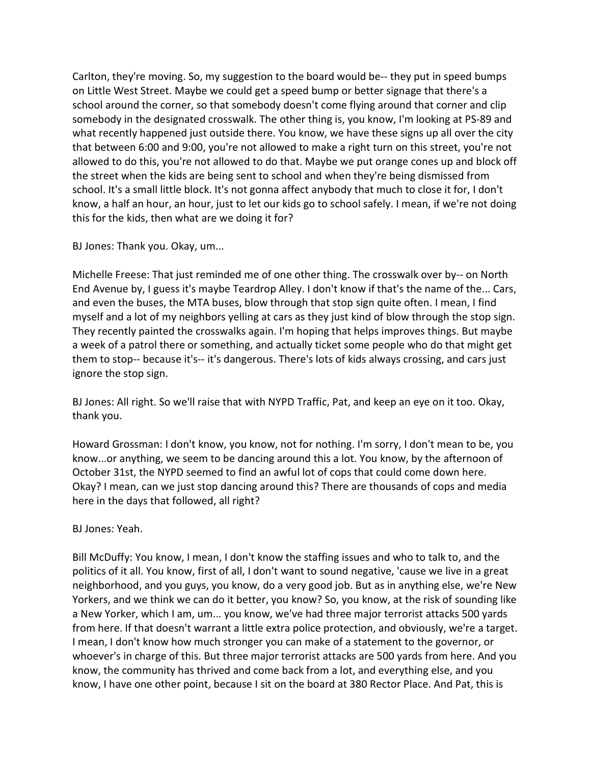Carlton, they're moving. So, my suggestion to the board would be-- they put in speed bumps on Little West Street. Maybe we could get a speed bump or better signage that there's a school around the corner, so that somebody doesn't come flying around that corner and clip somebody in the designated crosswalk. The other thing is, you know, I'm looking at PS-89 and what recently happened just outside there. You know, we have these signs up all over the city that between 6:00 and 9:00, you're not allowed to make a right turn on this street, you're not allowed to do this, you're not allowed to do that. Maybe we put orange cones up and block off the street when the kids are being sent to school and when they're being dismissed from school. It's a small little block. It's not gonna affect anybody that much to close it for, I don't know, a half an hour, an hour, just to let our kids go to school safely. I mean, if we're not doing this for the kids, then what are we doing it for?

BJ Jones: Thank you. Okay, um...

Michelle Freese: That just reminded me of one other thing. The crosswalk over by-- on North End Avenue by, I guess it's maybe Teardrop Alley. I don't know if that's the name of the... Cars, and even the buses, the MTA buses, blow through that stop sign quite often. I mean, I find myself and a lot of my neighbors yelling at cars as they just kind of blow through the stop sign. They recently painted the crosswalks again. I'm hoping that helps improves things. But maybe a week of a patrol there or something, and actually ticket some people who do that might get them to stop-- because it's-- it's dangerous. There's lots of kids always crossing, and cars just ignore the stop sign.

BJ Jones: All right. So we'll raise that with NYPD Traffic, Pat, and keep an eye on it too. Okay, thank you.

Howard Grossman: I don't know, you know, not for nothing. I'm sorry, I don't mean to be, you know...or anything, we seem to be dancing around this a lot. You know, by the afternoon of October 31st, the NYPD seemed to find an awful lot of cops that could come down here. Okay? I mean, can we just stop dancing around this? There are thousands of cops and media here in the days that followed, all right?

# BJ Jones: Yeah.

Bill McDuffy: You know, I mean, I don't know the staffing issues and who to talk to, and the politics of it all. You know, first of all, I don't want to sound negative, 'cause we live in a great neighborhood, and you guys, you know, do a very good job. But as in anything else, we're New Yorkers, and we think we can do it better, you know? So, you know, at the risk of sounding like a New Yorker, which I am, um... you know, we've had three major terrorist attacks 500 yards from here. If that doesn't warrant a little extra police protection, and obviously, we're a target. I mean, I don't know how much stronger you can make of a statement to the governor, or whoever's in charge of this. But three major terrorist attacks are 500 yards from here. And you know, the community has thrived and come back from a lot, and everything else, and you know, I have one other point, because I sit on the board at 380 Rector Place. And Pat, this is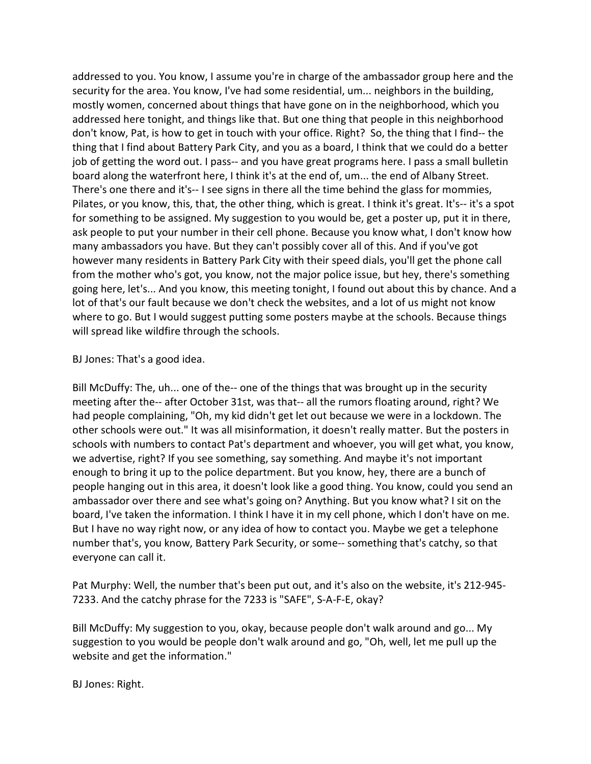addressed to you. You know, I assume you're in charge of the ambassador group here and the security for the area. You know, I've had some residential, um... neighbors in the building, mostly women, concerned about things that have gone on in the neighborhood, which you addressed here tonight, and things like that. But one thing that people in this neighborhood don't know, Pat, is how to get in touch with your office. Right? So, the thing that I find-- the thing that I find about Battery Park City, and you as a board, I think that we could do a better job of getting the word out. I pass-- and you have great programs here. I pass a small bulletin board along the waterfront here, I think it's at the end of, um... the end of Albany Street. There's one there and it's-- I see signs in there all the time behind the glass for mommies, Pilates, or you know, this, that, the other thing, which is great. I think it's great. It's-- it's a spot for something to be assigned. My suggestion to you would be, get a poster up, put it in there, ask people to put your number in their cell phone. Because you know what, I don't know how many ambassadors you have. But they can't possibly cover all of this. And if you've got however many residents in Battery Park City with their speed dials, you'll get the phone call from the mother who's got, you know, not the major police issue, but hey, there's something going here, let's... And you know, this meeting tonight, I found out about this by chance. And a lot of that's our fault because we don't check the websites, and a lot of us might not know where to go. But I would suggest putting some posters maybe at the schools. Because things will spread like wildfire through the schools.

BJ Jones: That's a good idea.

Bill McDuffy: The, uh... one of the-- one of the things that was brought up in the security meeting after the-- after October 31st, was that-- all the rumors floating around, right? We had people complaining, "Oh, my kid didn't get let out because we were in a lockdown. The other schools were out." It was all misinformation, it doesn't really matter. But the posters in schools with numbers to contact Pat's department and whoever, you will get what, you know, we advertise, right? If you see something, say something. And maybe it's not important enough to bring it up to the police department. But you know, hey, there are a bunch of people hanging out in this area, it doesn't look like a good thing. You know, could you send an ambassador over there and see what's going on? Anything. But you know what? I sit on the board, I've taken the information. I think I have it in my cell phone, which I don't have on me. But I have no way right now, or any idea of how to contact you. Maybe we get a telephone number that's, you know, Battery Park Security, or some-- something that's catchy, so that everyone can call it.

Pat Murphy: Well, the number that's been put out, and it's also on the website, it's 212-945- 7233. And the catchy phrase for the 7233 is "SAFE", S-A-F-E, okay?

Bill McDuffy: My suggestion to you, okay, because people don't walk around and go... My suggestion to you would be people don't walk around and go, "Oh, well, let me pull up the website and get the information."

BJ Jones: Right.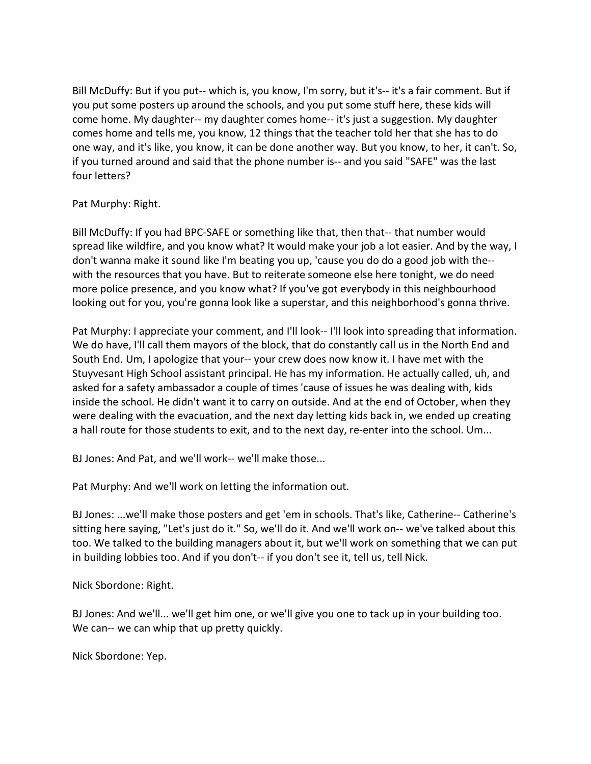Bill McDuffy: But if you put-- which is, you know, I'm sorry, but it's-- it's a fair comment. But if you put some posters up around the schools, and you put some stuff here, these kids will come home. My daughter-- my daughter comes home-- it's just a suggestion. My daughter comes home and tells me, you know, 12 things that the teacher told her that she has to do one way, and it's like, you know, it can be done another way. But you know, to her, it can't. So, if you turned around and said that the phone number is-- and you said "SAFE" was the last four letters?

## Pat Murphy: Right.

Bill McDuffy: If you had BPC-SAFE or something like that, then that-- that number would spread like wildfire, and you know what? It would make your job a lot easier. And by the way, I don't wanna make it sound like I'm beating you up, 'cause you do do a good job with the- with the resources that you have. But to reiterate someone else here tonight, we do need more police presence, and you know what? If you've got everybody in this neighbourhood looking out for you, you're gonna look like a superstar, and this neighborhood's gonna thrive.

Pat Murphy: I appreciate your comment, and I'll look-- I'll look into spreading that information. We do have, I'll call them mayors of the block, that do constantly call us in the North End and South End. Um, I apologize that your-- your crew does now know it. I have met with the Stuyvesant High School assistant principal. He has my information. He actually called, uh, and asked for a safety ambassador a couple of times 'cause of issues he was dealing with, kids inside the school. He didn't want it to carry on outside. And at the end of October, when they were dealing with the evacuation, and the next day letting kids back in, we ended up creating a hall route for those students to exit, and to the next day, re-enter into the school. Um...

BJ Jones: And Pat, and we'll work-- we'll make those...

Pat Murphy: And we'll work on letting the information out.

BJ Jones: ...we'll make those posters and get 'em in schools. That's like, Catherine-- Catherine's sitting here saying, "Let's just do it." So, we'll do it. And we'll work on-- we've talked about this too. We talked to the building managers about it, but we'll work on something that we can put in building lobbies too. And if you don't-- if you don't see it, tell us, tell Nick.

Nick Sbordone: Right.

BJ Jones: And we'll... we'll get him one, or we'll give you one to tack up in your building too. We can-- we can whip that up pretty quickly.

Nick Sbordone: Yep.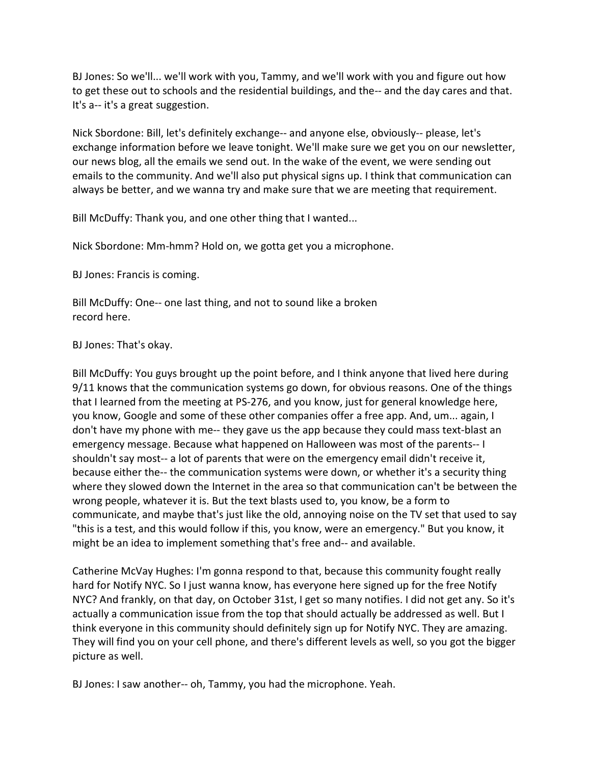BJ Jones: So we'll... we'll work with you, Tammy, and we'll work with you and figure out how to get these out to schools and the residential buildings, and the-- and the day cares and that. It's a-- it's a great suggestion.

Nick Sbordone: Bill, let's definitely exchange-- and anyone else, obviously-- please, let's exchange information before we leave tonight. We'll make sure we get you on our newsletter, our news blog, all the emails we send out. In the wake of the event, we were sending out emails to the community. And we'll also put physical signs up. I think that communication can always be better, and we wanna try and make sure that we are meeting that requirement.

Bill McDuffy: Thank you, and one other thing that I wanted...

Nick Sbordone: Mm-hmm? Hold on, we gotta get you a microphone.

BJ Jones: Francis is coming.

Bill McDuffy: One-- one last thing, and not to sound like a broken record here.

BJ Jones: That's okay.

Bill McDuffy: You guys brought up the point before, and I think anyone that lived here during 9/11 knows that the communication systems go down, for obvious reasons. One of the things that I learned from the meeting at PS-276, and you know, just for general knowledge here, you know, Google and some of these other companies offer a free app. And, um... again, I don't have my phone with me-- they gave us the app because they could mass text-blast an emergency message. Because what happened on Halloween was most of the parents-- I shouldn't say most-- a lot of parents that were on the emergency email didn't receive it, because either the-- the communication systems were down, or whether it's a security thing where they slowed down the Internet in the area so that communication can't be between the wrong people, whatever it is. But the text blasts used to, you know, be a form to communicate, and maybe that's just like the old, annoying noise on the TV set that used to say "this is a test, and this would follow if this, you know, were an emergency." But you know, it might be an idea to implement something that's free and-- and available.

Catherine McVay Hughes: I'm gonna respond to that, because this community fought really hard for Notify NYC. So I just wanna know, has everyone here signed up for the free Notify NYC? And frankly, on that day, on October 31st, I get so many notifies. I did not get any. So it's actually a communication issue from the top that should actually be addressed as well. But I think everyone in this community should definitely sign up for Notify NYC. They are amazing. They will find you on your cell phone, and there's different levels as well, so you got the bigger picture as well.

BJ Jones: I saw another-- oh, Tammy, you had the microphone. Yeah.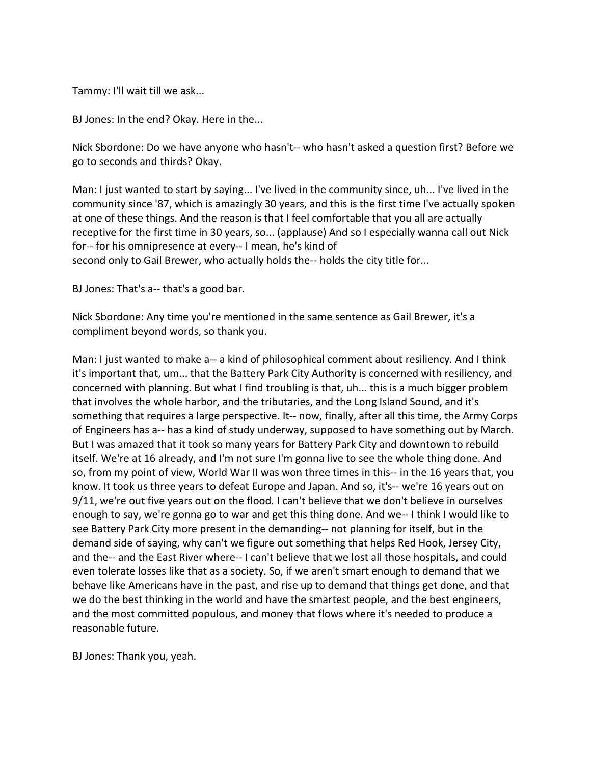Tammy: I'll wait till we ask...

BJ Jones: In the end? Okay. Here in the...

Nick Sbordone: Do we have anyone who hasn't-- who hasn't asked a question first? Before we go to seconds and thirds? Okay.

Man: I just wanted to start by saying... I've lived in the community since, uh... I've lived in the community since '87, which is amazingly 30 years, and this is the first time I've actually spoken at one of these things. And the reason is that I feel comfortable that you all are actually receptive for the first time in 30 years, so... (applause) And so I especially wanna call out Nick for-- for his omnipresence at every-- I mean, he's kind of second only to Gail Brewer, who actually holds the-- holds the city title for...

BJ Jones: That's a-- that's a good bar.

Nick Sbordone: Any time you're mentioned in the same sentence as Gail Brewer, it's a compliment beyond words, so thank you.

Man: I just wanted to make a-- a kind of philosophical comment about resiliency. And I think it's important that, um... that the Battery Park City Authority is concerned with resiliency, and concerned with planning. But what I find troubling is that, uh... this is a much bigger problem that involves the whole harbor, and the tributaries, and the Long Island Sound, and it's something that requires a large perspective. It-- now, finally, after all this time, the Army Corps of Engineers has a-- has a kind of study underway, supposed to have something out by March. But I was amazed that it took so many years for Battery Park City and downtown to rebuild itself. We're at 16 already, and I'm not sure I'm gonna live to see the whole thing done. And so, from my point of view, World War II was won three times in this-- in the 16 years that, you know. It took us three years to defeat Europe and Japan. And so, it's-- we're 16 years out on 9/11, we're out five years out on the flood. I can't believe that we don't believe in ourselves enough to say, we're gonna go to war and get this thing done. And we-- I think I would like to see Battery Park City more present in the demanding-- not planning for itself, but in the demand side of saying, why can't we figure out something that helps Red Hook, Jersey City, and the-- and the East River where-- I can't believe that we lost all those hospitals, and could even tolerate losses like that as a society. So, if we aren't smart enough to demand that we behave like Americans have in the past, and rise up to demand that things get done, and that we do the best thinking in the world and have the smartest people, and the best engineers, and the most committed populous, and money that flows where it's needed to produce a reasonable future.

BJ Jones: Thank you, yeah.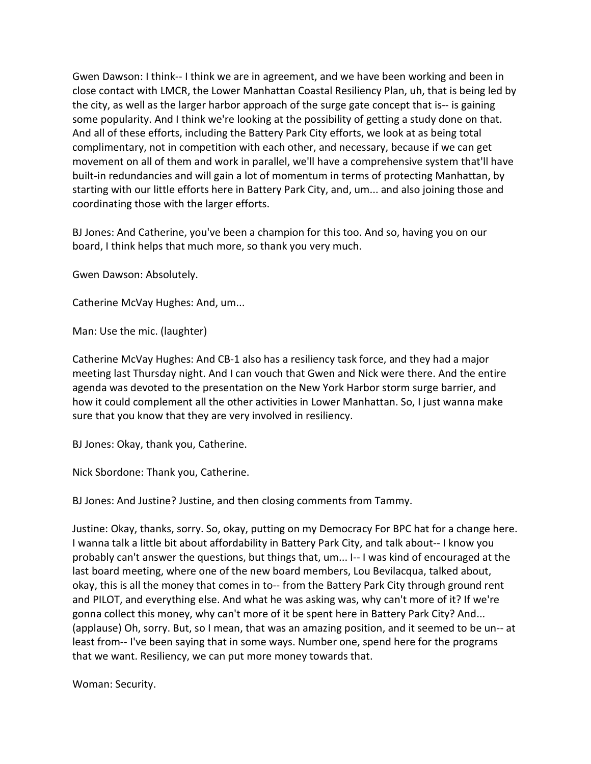Gwen Dawson: I think-- I think we are in agreement, and we have been working and been in close contact with LMCR, the Lower Manhattan Coastal Resiliency Plan, uh, that is being led by the city, as well as the larger harbor approach of the surge gate concept that is-- is gaining some popularity. And I think we're looking at the possibility of getting a study done on that. And all of these efforts, including the Battery Park City efforts, we look at as being total complimentary, not in competition with each other, and necessary, because if we can get movement on all of them and work in parallel, we'll have a comprehensive system that'll have built-in redundancies and will gain a lot of momentum in terms of protecting Manhattan, by starting with our little efforts here in Battery Park City, and, um... and also joining those and coordinating those with the larger efforts.

BJ Jones: And Catherine, you've been a champion for this too. And so, having you on our board, I think helps that much more, so thank you very much.

Gwen Dawson: Absolutely.

Catherine McVay Hughes: And, um...

Man: Use the mic. (laughter)

Catherine McVay Hughes: And CB-1 also has a resiliency task force, and they had a major meeting last Thursday night. And I can vouch that Gwen and Nick were there. And the entire agenda was devoted to the presentation on the New York Harbor storm surge barrier, and how it could complement all the other activities in Lower Manhattan. So, I just wanna make sure that you know that they are very involved in resiliency.

BJ Jones: Okay, thank you, Catherine.

Nick Sbordone: Thank you, Catherine.

BJ Jones: And Justine? Justine, and then closing comments from Tammy.

Justine: Okay, thanks, sorry. So, okay, putting on my Democracy For BPC hat for a change here. I wanna talk a little bit about affordability in Battery Park City, and talk about-- I know you probably can't answer the questions, but things that, um... I-- I was kind of encouraged at the last board meeting, where one of the new board members, Lou Bevilacqua, talked about, okay, this is all the money that comes in to-- from the Battery Park City through ground rent and PILOT, and everything else. And what he was asking was, why can't more of it? If we're gonna collect this money, why can't more of it be spent here in Battery Park City? And... (applause) Oh, sorry. But, so I mean, that was an amazing position, and it seemed to be un-- at least from-- I've been saying that in some ways. Number one, spend here for the programs that we want. Resiliency, we can put more money towards that.

Woman: Security.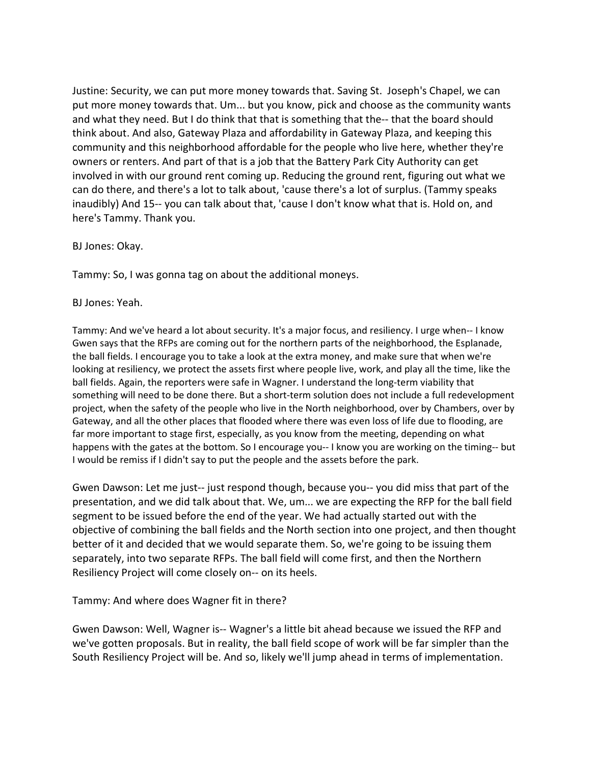Justine: Security, we can put more money towards that. Saving St. Joseph's Chapel, we can put more money towards that. Um... but you know, pick and choose as the community wants and what they need. But I do think that that is something that the-- that the board should think about. And also, Gateway Plaza and affordability in Gateway Plaza, and keeping this community and this neighborhood affordable for the people who live here, whether they're owners or renters. And part of that is a job that the Battery Park City Authority can get involved in with our ground rent coming up. Reducing the ground rent, figuring out what we can do there, and there's a lot to talk about, 'cause there's a lot of surplus. (Tammy speaks inaudibly) And 15-- you can talk about that, 'cause I don't know what that is. Hold on, and here's Tammy. Thank you.

### BJ Jones: Okay.

Tammy: So, I was gonna tag on about the additional moneys.

### BJ Jones: Yeah.

Tammy: And we've heard a lot about security. It's a major focus, and resiliency. I urge when-- I know Gwen says that the RFPs are coming out for the northern parts of the neighborhood, the Esplanade, the ball fields. I encourage you to take a look at the extra money, and make sure that when we're looking at resiliency, we protect the assets first where people live, work, and play all the time, like the ball fields. Again, the reporters were safe in Wagner. I understand the long-term viability that something will need to be done there. But a short-term solution does not include a full redevelopment project, when the safety of the people who live in the North neighborhood, over by Chambers, over by Gateway, and all the other places that flooded where there was even loss of life due to flooding, are far more important to stage first, especially, as you know from the meeting, depending on what happens with the gates at the bottom. So I encourage you-- I know you are working on the timing-- but I would be remiss if I didn't say to put the people and the assets before the park.

Gwen Dawson: Let me just-- just respond though, because you-- you did miss that part of the presentation, and we did talk about that. We, um... we are expecting the RFP for the ball field segment to be issued before the end of the year. We had actually started out with the objective of combining the ball fields and the North section into one project, and then thought better of it and decided that we would separate them. So, we're going to be issuing them separately, into two separate RFPs. The ball field will come first, and then the Northern Resiliency Project will come closely on-- on its heels.

Tammy: And where does Wagner fit in there?

Gwen Dawson: Well, Wagner is-- Wagner's a little bit ahead because we issued the RFP and we've gotten proposals. But in reality, the ball field scope of work will be far simpler than the South Resiliency Project will be. And so, likely we'll jump ahead in terms of implementation.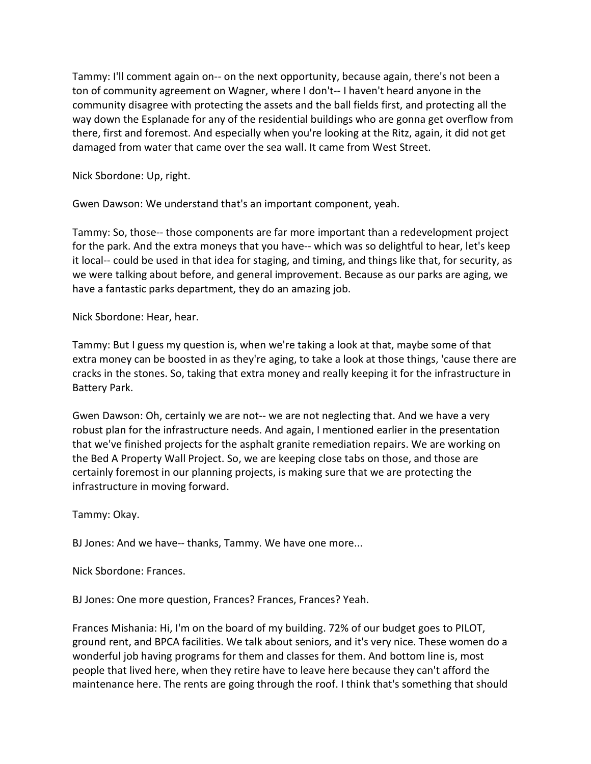Tammy: I'll comment again on-- on the next opportunity, because again, there's not been a ton of community agreement on Wagner, where I don't-- I haven't heard anyone in the community disagree with protecting the assets and the ball fields first, and protecting all the way down the Esplanade for any of the residential buildings who are gonna get overflow from there, first and foremost. And especially when you're looking at the Ritz, again, it did not get damaged from water that came over the sea wall. It came from West Street.

Nick Sbordone: Up, right.

Gwen Dawson: We understand that's an important component, yeah.

Tammy: So, those-- those components are far more important than a redevelopment project for the park. And the extra moneys that you have-- which was so delightful to hear, let's keep it local-- could be used in that idea for staging, and timing, and things like that, for security, as we were talking about before, and general improvement. Because as our parks are aging, we have a fantastic parks department, they do an amazing job.

Nick Sbordone: Hear, hear.

Tammy: But I guess my question is, when we're taking a look at that, maybe some of that extra money can be boosted in as they're aging, to take a look at those things, 'cause there are cracks in the stones. So, taking that extra money and really keeping it for the infrastructure in Battery Park.

Gwen Dawson: Oh, certainly we are not-- we are not neglecting that. And we have a very robust plan for the infrastructure needs. And again, I mentioned earlier in the presentation that we've finished projects for the asphalt granite remediation repairs. We are working on the Bed A Property Wall Project. So, we are keeping close tabs on those, and those are certainly foremost in our planning projects, is making sure that we are protecting the infrastructure in moving forward.

Tammy: Okay.

BJ Jones: And we have-- thanks, Tammy. We have one more...

Nick Sbordone: Frances.

BJ Jones: One more question, Frances? Frances, Frances? Yeah.

Frances Mishania: Hi, I'm on the board of my building. 72% of our budget goes to PILOT, ground rent, and BPCA facilities. We talk about seniors, and it's very nice. These women do a wonderful job having programs for them and classes for them. And bottom line is, most people that lived here, when they retire have to leave here because they can't afford the maintenance here. The rents are going through the roof. I think that's something that should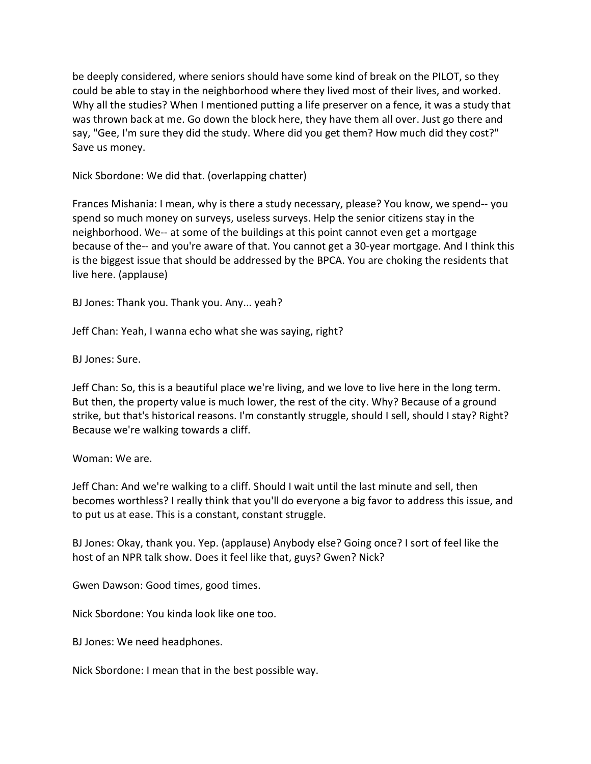be deeply considered, where seniors should have some kind of break on the PILOT, so they could be able to stay in the neighborhood where they lived most of their lives, and worked. Why all the studies? When I mentioned putting a life preserver on a fence, it was a study that was thrown back at me. Go down the block here, they have them all over. Just go there and say, "Gee, I'm sure they did the study. Where did you get them? How much did they cost?" Save us money.

Nick Sbordone: We did that. (overlapping chatter)

Frances Mishania: I mean, why is there a study necessary, please? You know, we spend-- you spend so much money on surveys, useless surveys. Help the senior citizens stay in the neighborhood. We-- at some of the buildings at this point cannot even get a mortgage because of the-- and you're aware of that. You cannot get a 30-year mortgage. And I think this is the biggest issue that should be addressed by the BPCA. You are choking the residents that live here. (applause)

BJ Jones: Thank you. Thank you. Any... yeah?

Jeff Chan: Yeah, I wanna echo what she was saying, right?

BJ Jones: Sure.

Jeff Chan: So, this is a beautiful place we're living, and we love to live here in the long term. But then, the property value is much lower, the rest of the city. Why? Because of a ground strike, but that's historical reasons. I'm constantly struggle, should I sell, should I stay? Right? Because we're walking towards a cliff.

## Woman: We are.

Jeff Chan: And we're walking to a cliff. Should I wait until the last minute and sell, then becomes worthless? I really think that you'll do everyone a big favor to address this issue, and to put us at ease. This is a constant, constant struggle.

BJ Jones: Okay, thank you. Yep. (applause) Anybody else? Going once? I sort of feel like the host of an NPR talk show. Does it feel like that, guys? Gwen? Nick?

Gwen Dawson: Good times, good times.

Nick Sbordone: You kinda look like one too.

BJ Jones: We need headphones.

Nick Sbordone: I mean that in the best possible way.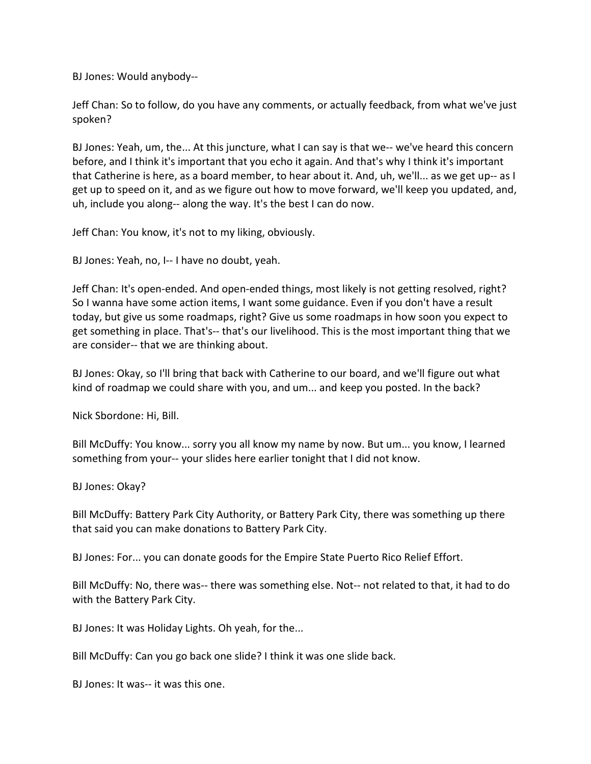BJ Jones: Would anybody--

Jeff Chan: So to follow, do you have any comments, or actually feedback, from what we've just spoken?

BJ Jones: Yeah, um, the... At this juncture, what I can say is that we-- we've heard this concern before, and I think it's important that you echo it again. And that's why I think it's important that Catherine is here, as a board member, to hear about it. And, uh, we'll... as we get up-- as I get up to speed on it, and as we figure out how to move forward, we'll keep you updated, and, uh, include you along-- along the way. It's the best I can do now.

Jeff Chan: You know, it's not to my liking, obviously.

BJ Jones: Yeah, no, I-- I have no doubt, yeah.

Jeff Chan: It's open-ended. And open-ended things, most likely is not getting resolved, right? So I wanna have some action items, I want some guidance. Even if you don't have a result today, but give us some roadmaps, right? Give us some roadmaps in how soon you expect to get something in place. That's-- that's our livelihood. This is the most important thing that we are consider-- that we are thinking about.

BJ Jones: Okay, so I'll bring that back with Catherine to our board, and we'll figure out what kind of roadmap we could share with you, and um... and keep you posted. In the back?

Nick Sbordone: Hi, Bill.

Bill McDuffy: You know... sorry you all know my name by now. But um... you know, I learned something from your-- your slides here earlier tonight that I did not know.

BJ Jones: Okay?

Bill McDuffy: Battery Park City Authority, or Battery Park City, there was something up there that said you can make donations to Battery Park City.

BJ Jones: For... you can donate goods for the Empire State Puerto Rico Relief Effort.

Bill McDuffy: No, there was-- there was something else. Not-- not related to that, it had to do with the Battery Park City.

BJ Jones: It was Holiday Lights. Oh yeah, for the...

Bill McDuffy: Can you go back one slide? I think it was one slide back.

BJ Jones: It was-- it was this one.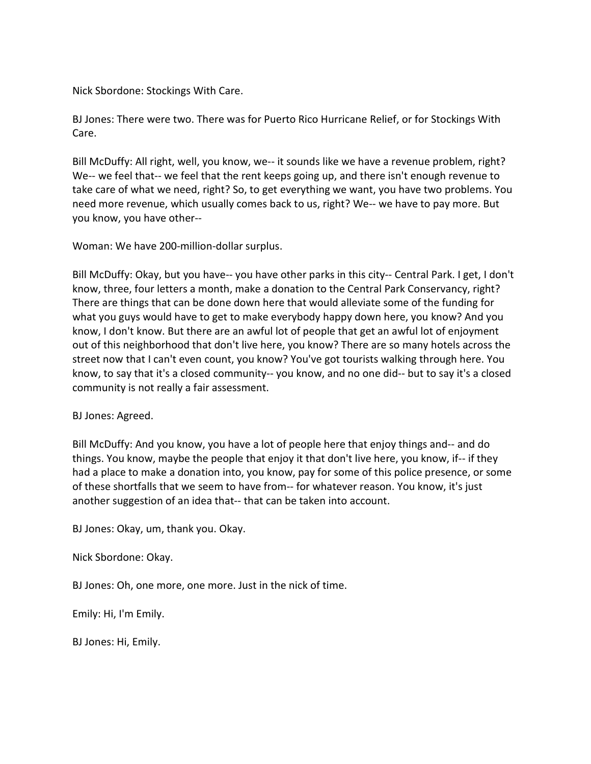Nick Sbordone: Stockings With Care.

BJ Jones: There were two. There was for Puerto Rico Hurricane Relief, or for Stockings With Care.

Bill McDuffy: All right, well, you know, we-- it sounds like we have a revenue problem, right? We-- we feel that-- we feel that the rent keeps going up, and there isn't enough revenue to take care of what we need, right? So, to get everything we want, you have two problems. You need more revenue, which usually comes back to us, right? We-- we have to pay more. But you know, you have other--

Woman: We have 200-million-dollar surplus.

Bill McDuffy: Okay, but you have-- you have other parks in this city-- Central Park. I get, I don't know, three, four letters a month, make a donation to the Central Park Conservancy, right? There are things that can be done down here that would alleviate some of the funding for what you guys would have to get to make everybody happy down here, you know? And you know, I don't know. But there are an awful lot of people that get an awful lot of enjoyment out of this neighborhood that don't live here, you know? There are so many hotels across the street now that I can't even count, you know? You've got tourists walking through here. You know, to say that it's a closed community-- you know, and no one did-- but to say it's a closed community is not really a fair assessment.

BJ Jones: Agreed.

Bill McDuffy: And you know, you have a lot of people here that enjoy things and-- and do things. You know, maybe the people that enjoy it that don't live here, you know, if-- if they had a place to make a donation into, you know, pay for some of this police presence, or some of these shortfalls that we seem to have from-- for whatever reason. You know, it's just another suggestion of an idea that-- that can be taken into account.

BJ Jones: Okay, um, thank you. Okay.

Nick Sbordone: Okay.

BJ Jones: Oh, one more, one more. Just in the nick of time.

Emily: Hi, I'm Emily.

BJ Jones: Hi, Emily.